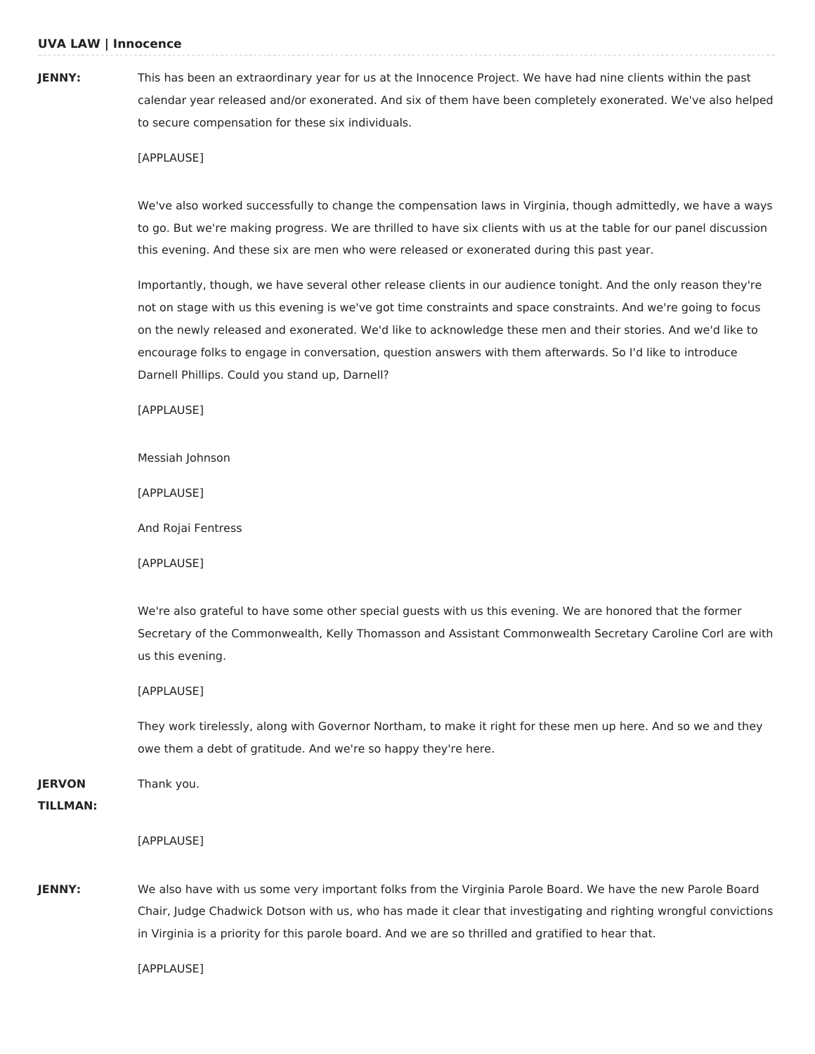# **JENNY:** This has been an extraordinary year for us at the Innocence Project. We have had nine clients within the past calendar year released and/or exonerated. And six of them have been completely exonerated. We've also helped to secure compensation for these six individuals.

#### [APPLAUSE]

We've also worked successfully to change the compensation laws in Virginia, though admittedly, we have a ways to go. But we're making progress. We are thrilled to have six clients with us at the table for our panel discussion this evening. And these six are men who were released or exonerated during this past year.

Importantly, though, we have several other release clients in our audience tonight. And the only reason they're not on stage with us this evening is we've got time constraints and space constraints. And we're going to focus on the newly released and exonerated. We'd like to acknowledge these men and their stories. And we'd like to encourage folks to engage in conversation, question answers with them afterwards. So I'd like to introduce Darnell Phillips. Could you stand up, Darnell?

[APPLAUSE]

Messiah Johnson

[APPLAUSE]

And Rojai Fentress

[APPLAUSE]

We're also grateful to have some other special guests with us this evening. We are honored that the former Secretary of the Commonwealth, Kelly Thomasson and Assistant Commonwealth Secretary Caroline Corl are with us this evening.

[APPLAUSE]

They work tirelessly, along with Governor Northam, to make it right for these men up here. And so we and they owe them a debt of gratitude. And we're so happy they're here.

**JERVON** Thank you.

#### **TILLMAN:**

[APPLAUSE]

**JENNY:** We also have with us some very important folks from the Virginia Parole Board. We have the new Parole Board Chair, Judge Chadwick Dotson with us, who has made it clear that investigating and righting wrongful convictions in Virginia is a priority for this parole board. And we are so thrilled and gratified to hear that.

[APPLAUSE]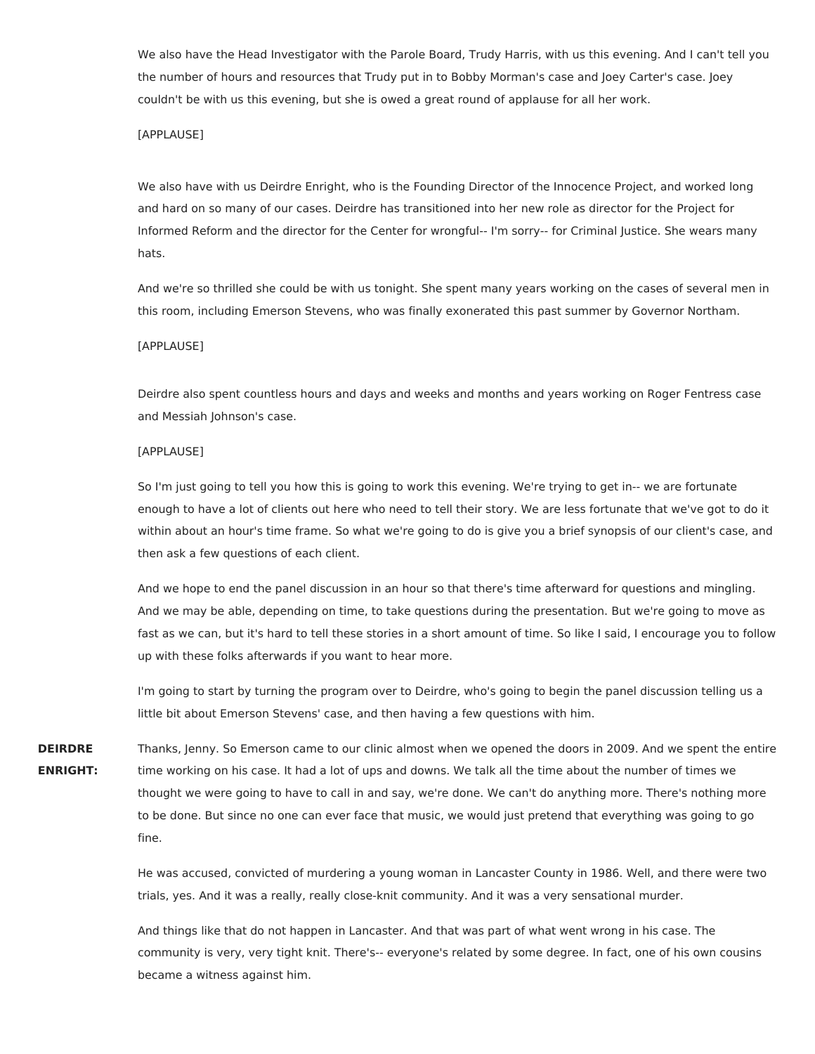We also have the Head Investigator with the Parole Board, Trudy Harris, with us this evening. And I can't tell you the number of hours and resources that Trudy put in to Bobby Morman's case and Joey Carter's case. Joey couldn't be with us this evening, but she is owed a great round of applause for all her work.

## [APPLAUSE]

We also have with us Deirdre Enright, who is the Founding Director of the Innocence Project, and worked long and hard on so many of our cases. Deirdre has transitioned into her new role as director for the Project for Informed Reform and the director for the Center for wrongful-- I'm sorry-- for Criminal Justice. She wears many hats.

And we're so thrilled she could be with us tonight. She spent many years working on the cases of several men in this room, including Emerson Stevens, who was finally exonerated this past summer by Governor Northam.

#### [APPLAUSE]

Deirdre also spent countless hours and days and weeks and months and years working on Roger Fentress case and Messiah Johnson's case.

#### [APPLAUSE]

So I'm just going to tell you how this is going to work this evening. We're trying to get in-- we are fortunate enough to have a lot of clients out here who need to tell their story. We are less fortunate that we've got to do it within about an hour's time frame. So what we're going to do is give you a brief synopsis of our client's case, and then ask a few questions of each client.

And we hope to end the panel discussion in an hour so that there's time afterward for questions and mingling. And we may be able, depending on time, to take questions during the presentation. But we're going to move as fast as we can, but it's hard to tell these stories in a short amount of time. So like I said, I encourage you to follow up with these folks afterwards if you want to hear more.

I'm going to start by turning the program over to Deirdre, who's going to begin the panel discussion telling us a little bit about Emerson Stevens' case, and then having a few questions with him.

**DEIRDRE ENRIGHT:** Thanks, Jenny. So Emerson came to our clinic almost when we opened the doors in 2009. And we spent the entire time working on his case. It had a lot of ups and downs. We talk all the time about the number of times we thought we were going to have to call in and say, we're done. We can't do anything more. There's nothing more to be done. But since no one can ever face that music, we would just pretend that everything was going to go fine.

> He was accused, convicted of murdering a young woman in Lancaster County in 1986. Well, and there were two trials, yes. And it was a really, really close-knit community. And it was a very sensational murder.

> And things like that do not happen in Lancaster. And that was part of what went wrong in his case. The community is very, very tight knit. There's-- everyone's related by some degree. In fact, one of his own cousins became a witness against him.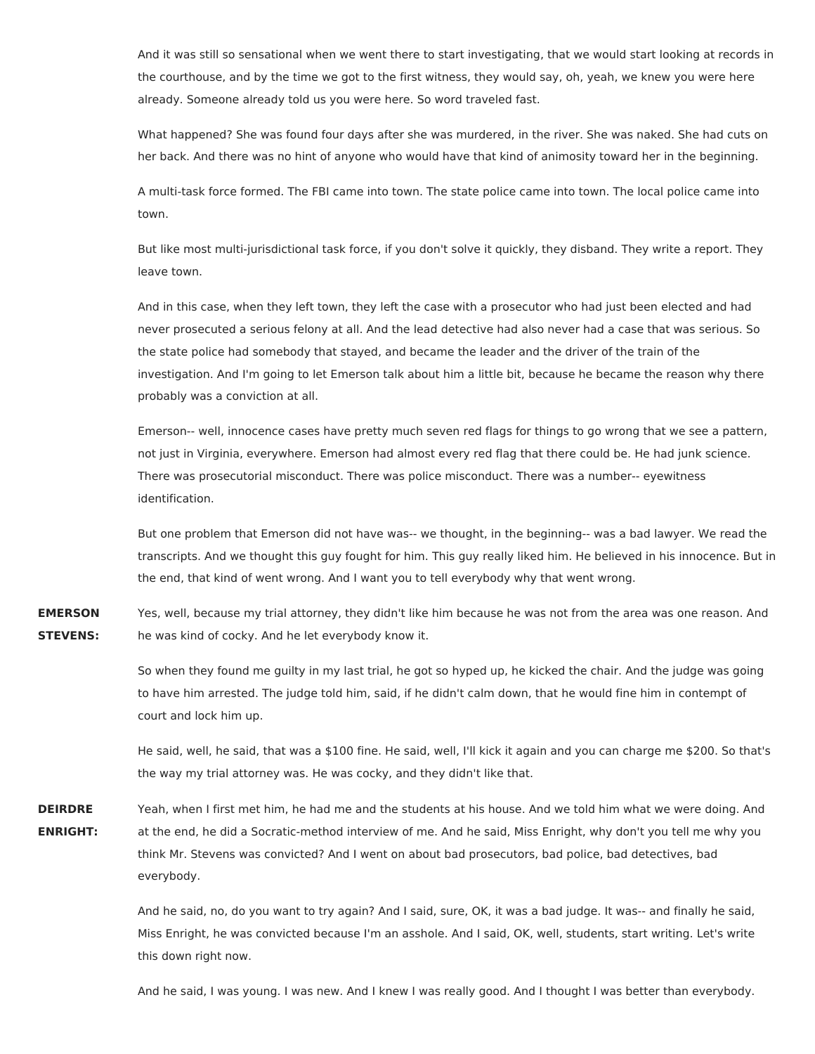And it was still so sensational when we went there to start investigating, that we would start looking at records in the courthouse, and by the time we got to the first witness, they would say, oh, yeah, we knew you were here already. Someone already told us you were here. So word traveled fast.

What happened? She was found four days after she was murdered, in the river. She was naked. She had cuts on her back. And there was no hint of anyone who would have that kind of animosity toward her in the beginning.

A multi-task force formed. The FBI came into town. The state police came into town. The local police came into town.

But like most multi-jurisdictional task force, if you don't solve it quickly, they disband. They write a report. They leave town.

And in this case, when they left town, they left the case with a prosecutor who had just been elected and had never prosecuted a serious felony at all. And the lead detective had also never had a case that was serious. So the state police had somebody that stayed, and became the leader and the driver of the train of the investigation. And I'm going to let Emerson talk about him a little bit, because he became the reason why there probably was a conviction at all.

Emerson-- well, innocence cases have pretty much seven red flags for things to go wrong that we see a pattern, not just in Virginia, everywhere. Emerson had almost every red flag that there could be. He had junk science. There was prosecutorial misconduct. There was police misconduct. There was a number-- eyewitness identification.

But one problem that Emerson did not have was-- we thought, in the beginning-- was a bad lawyer. We read the transcripts. And we thought this guy fought for him. This guy really liked him. He believed in his innocence. But in the end, that kind of went wrong. And I want you to tell everybody why that went wrong.

**EMERSON STEVENS:** Yes, well, because my trial attorney, they didn't like him because he was not from the area was one reason. And he was kind of cocky. And he let everybody know it.

> So when they found me guilty in my last trial, he got so hyped up, he kicked the chair. And the judge was going to have him arrested. The judge told him, said, if he didn't calm down, that he would fine him in contempt of court and lock him up.

> He said, well, he said, that was a \$100 fine. He said, well, I'll kick it again and you can charge me \$200. So that's the way my trial attorney was. He was cocky, and they didn't like that.

**DEIRDRE ENRIGHT:** Yeah, when I first met him, he had me and the students at his house. And we told him what we were doing. And at the end, he did a Socratic-method interview of me. And he said, Miss Enright, why don't you tell me why you think Mr. Stevens was convicted? And I went on about bad prosecutors, bad police, bad detectives, bad everybody.

> And he said, no, do you want to try again? And I said, sure, OK, it was a bad judge. It was-- and finally he said, Miss Enright, he was convicted because I'm an asshole. And I said, OK, well, students, start writing. Let's write this down right now.

> And he said, I was young. I was new. And I knew I was really good. And I thought I was better than everybody.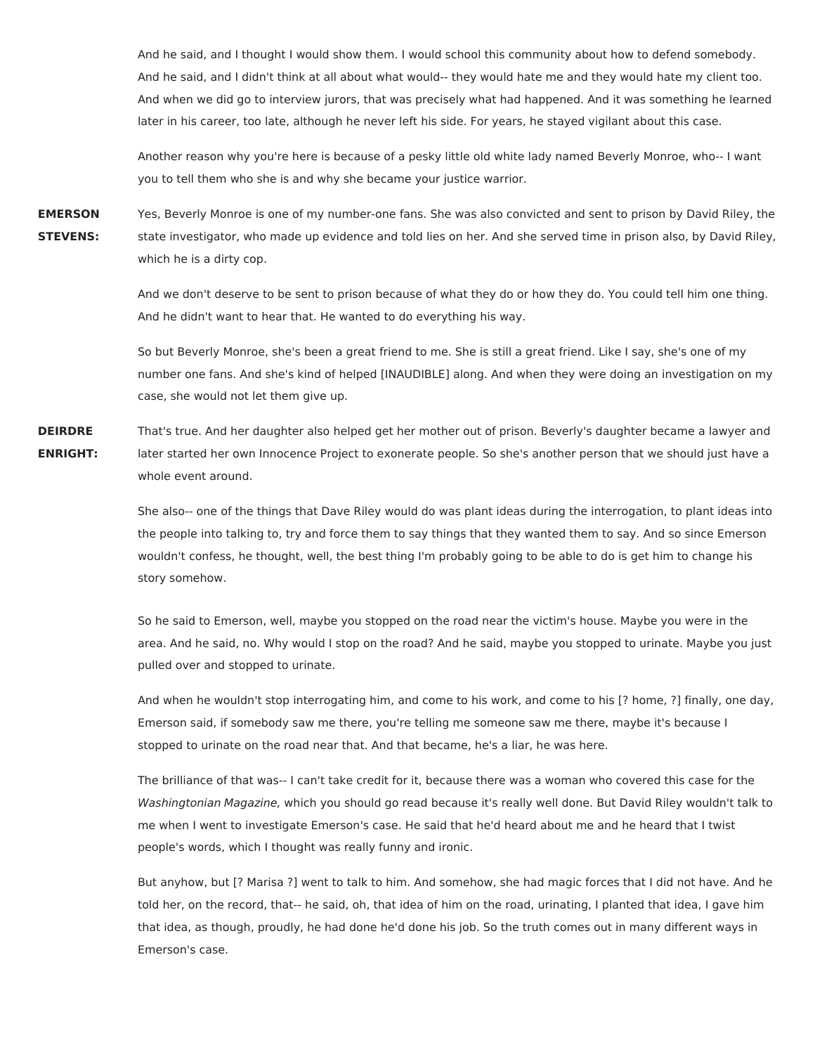And he said, and I thought I would show them. I would school this community about how to defend somebody. And he said, and I didn't think at all about what would-- they would hate me and they would hate my client too. And when we did go to interview jurors, that was precisely what had happened. And it was something he learned later in his career, too late, although he never left his side. For years, he stayed vigilant about this case.

Another reason why you're here is because of a pesky little old white lady named Beverly Monroe, who-- I want you to tell them who she is and why she became your justice warrior.

**EMERSON STEVENS:** Yes, Beverly Monroe is one of my number-one fans. She was also convicted and sent to prison by David Riley, the state investigator, who made up evidence and told lies on her. And she served time in prison also, by David Riley, which he is a dirty cop.

> And we don't deserve to be sent to prison because of what they do or how they do. You could tell him one thing. And he didn't want to hear that. He wanted to do everything his way.

> So but Beverly Monroe, she's been a great friend to me. She is still a great friend. Like I say, she's one of my number one fans. And she's kind of helped [INAUDIBLE] along. And when they were doing an investigation on my case, she would not let them give up.

**DEIRDRE ENRIGHT:** That's true. And her daughter also helped get her mother out of prison. Beverly's daughter became a lawyer and later started her own Innocence Project to exonerate people. So she's another person that we should just have a whole event around.

> She also-- one of the things that Dave Riley would do was plant ideas during the interrogation, to plant ideas into the people into talking to, try and force them to say things that they wanted them to say. And so since Emerson wouldn't confess, he thought, well, the best thing I'm probably going to be able to do is get him to change his story somehow.

> So he said to Emerson, well, maybe you stopped on the road near the victim's house. Maybe you were in the area. And he said, no. Why would I stop on the road? And he said, maybe you stopped to urinate. Maybe you just pulled over and stopped to urinate.

> And when he wouldn't stop interrogating him, and come to his work, and come to his [? home, ?] finally, one day, Emerson said, if somebody saw me there, you're telling me someone saw me there, maybe it's because I stopped to urinate on the road near that. And that became, he's a liar, he was here.

> The brilliance of that was-- I can't take credit for it, because there was a woman who covered this case for the Washingtonian Magazine, which you should go read because it's really well done. But David Riley wouldn't talk to me when I went to investigate Emerson's case. He said that he'd heard about me and he heard that I twist people's words, which I thought was really funny and ironic.

> But anyhow, but [? Marisa ?] went to talk to him. And somehow, she had magic forces that I did not have. And he told her, on the record, that-- he said, oh, that idea of him on the road, urinating, I planted that idea, I gave him that idea, as though, proudly, he had done he'd done his job. So the truth comes out in many different ways in Emerson's case.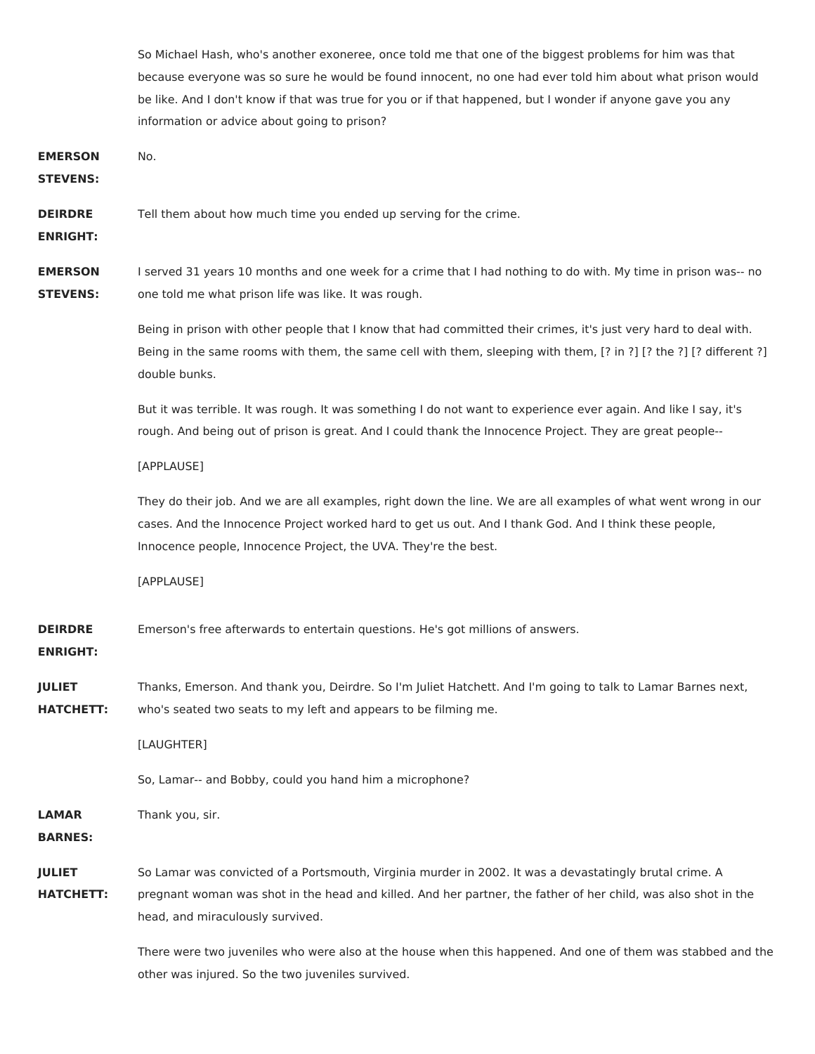So Michael Hash, who's another exoneree, once told me that one of the biggest problems for him was that because everyone was so sure he would be found innocent, no one had ever told him about what prison would be like. And I don't know if that was true for you or if that happened, but I wonder if anyone gave you any information or advice about going to prison? **EMERSON STEVENS:** No.

**DEIRDRE** Tell them about how much time you ended up serving for the crime.

**ENRIGHT:**

**EMERSON STEVENS:** I served 31 years 10 months and one week for a crime that I had nothing to do with. My time in prison was-- no one told me what prison life was like. It was rough.

> Being in prison with other people that I know that had committed their crimes, it's just very hard to deal with. Being in the same rooms with them, the same cell with them, sleeping with them, [? in ?] [? the ?] [? different ?] double bunks.

But it was terrible. It was rough. It was something I do not want to experience ever again. And like I say, it's rough. And being out of prison is great. And I could thank the Innocence Project. They are great people--

[APPLAUSE]

They do their job. And we are all examples, right down the line. We are all examples of what went wrong in our cases. And the Innocence Project worked hard to get us out. And I thank God. And I think these people, Innocence people, Innocence Project, the UVA. They're the best.

[APPLAUSE]

**DEIRDRE** Emerson's free afterwards to entertain questions. He's got millions of answers.

## **ENRIGHT:**

**JULIET HATCHETT:** Thanks, Emerson. And thank you, Deirdre. So I'm Juliet Hatchett. And I'm going to talk to Lamar Barnes next, who's seated two seats to my left and appears to be filming me.

[LAUGHTER]

So, Lamar-- and Bobby, could you hand him a microphone?

**LAMAR** Thank you, sir.

**BARNES:**

**JULIET HATCHETT:** So Lamar was convicted of a Portsmouth, Virginia murder in 2002. It was a devastatingly brutal crime. A pregnant woman was shot in the head and killed. And her partner, the father of her child, was also shot in the head, and miraculously survived.

> There were two juveniles who were also at the house when this happened. And one of them was stabbed and the other was injured. So the two juveniles survived.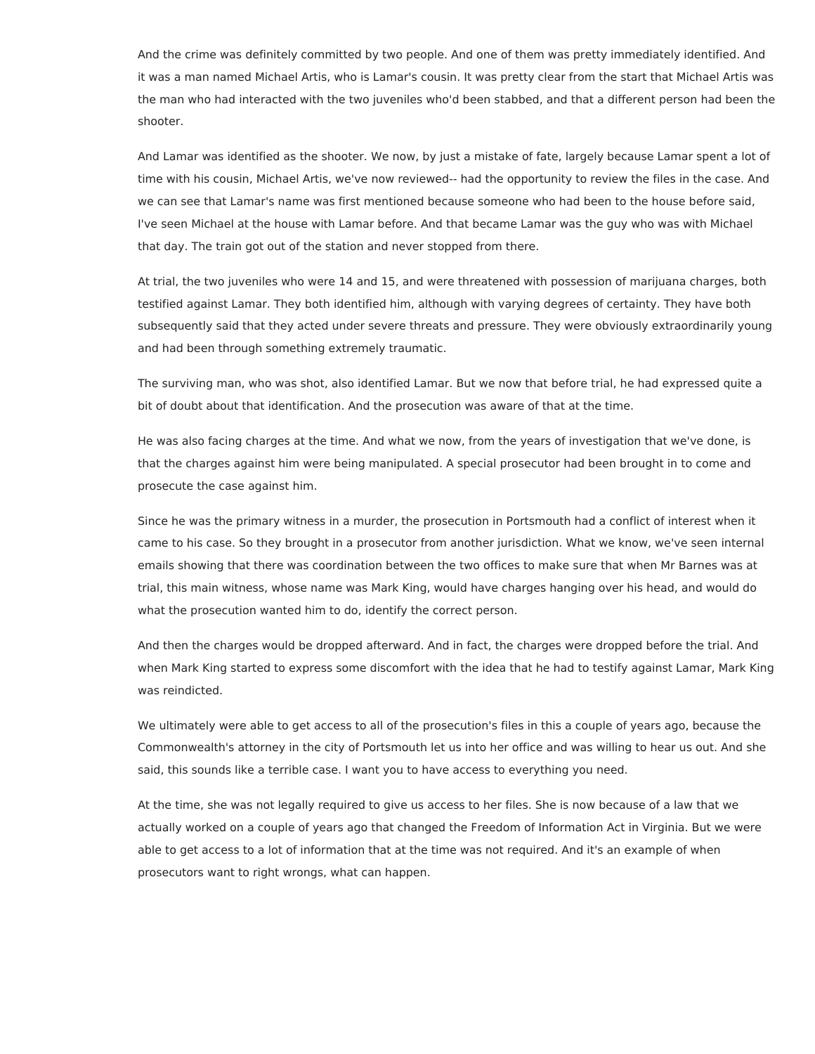And the crime was definitely committed by two people. And one of them was pretty immediately identified. And it was a man named Michael Artis, who is Lamar's cousin. It was pretty clear from the start that Michael Artis was the man who had interacted with the two juveniles who'd been stabbed, and that a different person had been the shooter.

And Lamar was identified as the shooter. We now, by just a mistake of fate, largely because Lamar spent a lot of time with his cousin, Michael Artis, we've now reviewed-- had the opportunity to review the files in the case. And we can see that Lamar's name was first mentioned because someone who had been to the house before said, I've seen Michael at the house with Lamar before. And that became Lamar was the guy who was with Michael that day. The train got out of the station and never stopped from there.

At trial, the two juveniles who were 14 and 15, and were threatened with possession of marijuana charges, both testified against Lamar. They both identified him, although with varying degrees of certainty. They have both subsequently said that they acted under severe threats and pressure. They were obviously extraordinarily young and had been through something extremely traumatic.

The surviving man, who was shot, also identified Lamar. But we now that before trial, he had expressed quite a bit of doubt about that identification. And the prosecution was aware of that at the time.

He was also facing charges at the time. And what we now, from the years of investigation that we've done, is that the charges against him were being manipulated. A special prosecutor had been brought in to come and prosecute the case against him.

Since he was the primary witness in a murder, the prosecution in Portsmouth had a conflict of interest when it came to his case. So they brought in a prosecutor from another jurisdiction. What we know, we've seen internal emails showing that there was coordination between the two offices to make sure that when Mr Barnes was at trial, this main witness, whose name was Mark King, would have charges hanging over his head, and would do what the prosecution wanted him to do, identify the correct person.

And then the charges would be dropped afterward. And in fact, the charges were dropped before the trial. And when Mark King started to express some discomfort with the idea that he had to testify against Lamar, Mark King was reindicted.

We ultimately were able to get access to all of the prosecution's files in this a couple of years ago, because the Commonwealth's attorney in the city of Portsmouth let us into her office and was willing to hear us out. And she said, this sounds like a terrible case. I want you to have access to everything you need.

At the time, she was not legally required to give us access to her files. She is now because of a law that we actually worked on a couple of years ago that changed the Freedom of Information Act in Virginia. But we were able to get access to a lot of information that at the time was not required. And it's an example of when prosecutors want to right wrongs, what can happen.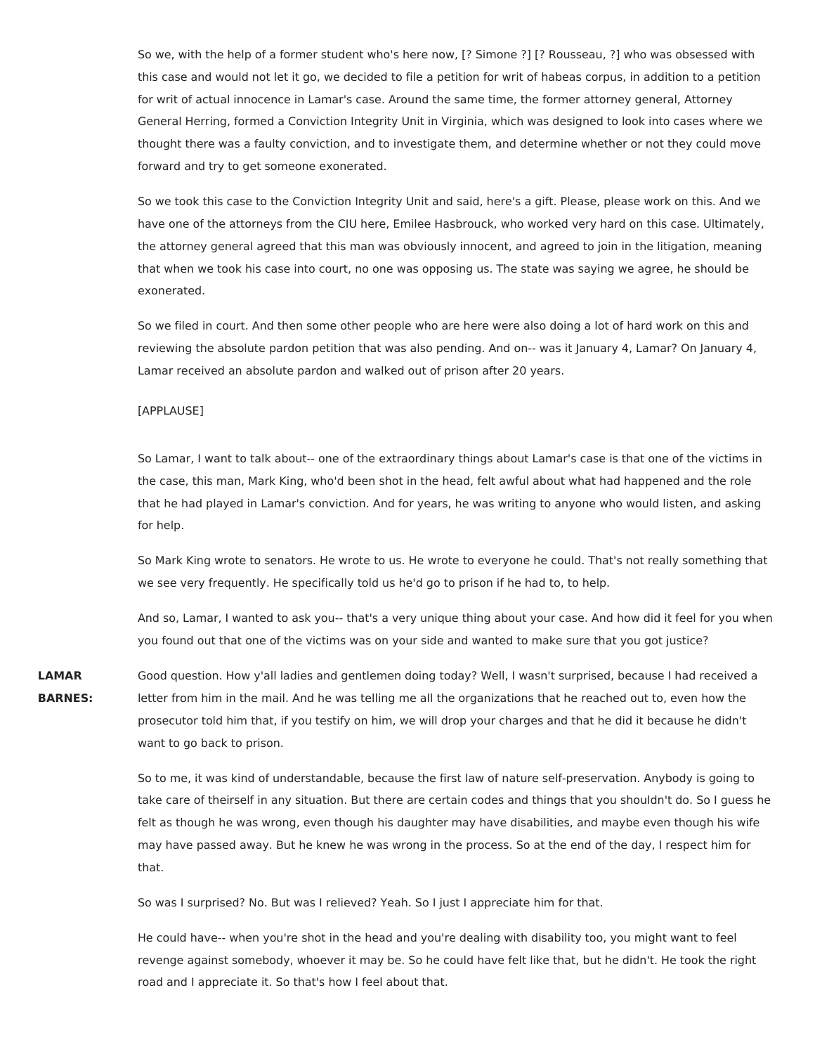So we, with the help of a former student who's here now, [? Simone ?] [? Rousseau, ?] who was obsessed with this case and would not let it go, we decided to file a petition for writ of habeas corpus, in addition to a petition for writ of actual innocence in Lamar's case. Around the same time, the former attorney general, Attorney General Herring, formed a Conviction Integrity Unit in Virginia, which was designed to look into cases where we thought there was a faulty conviction, and to investigate them, and determine whether or not they could move forward and try to get someone exonerated.

So we took this case to the Conviction Integrity Unit and said, here's a gift. Please, please work on this. And we have one of the attorneys from the CIU here, Emilee Hasbrouck, who worked very hard on this case. Ultimately, the attorney general agreed that this man was obviously innocent, and agreed to join in the litigation, meaning that when we took his case into court, no one was opposing us. The state was saying we agree, he should be exonerated.

So we filed in court. And then some other people who are here were also doing a lot of hard work on this and reviewing the absolute pardon petition that was also pending. And on-- was it January 4, Lamar? On January 4, Lamar received an absolute pardon and walked out of prison after 20 years.

### [APPLAUSE]

So Lamar, I want to talk about-- one of the extraordinary things about Lamar's case is that one of the victims in the case, this man, Mark King, who'd been shot in the head, felt awful about what had happened and the role that he had played in Lamar's conviction. And for years, he was writing to anyone who would listen, and asking for help.

So Mark King wrote to senators. He wrote to us. He wrote to everyone he could. That's not really something that we see very frequently. He specifically told us he'd go to prison if he had to, to help.

And so, Lamar, I wanted to ask you-- that's a very unique thing about your case. And how did it feel for you when you found out that one of the victims was on your side and wanted to make sure that you got justice?

**LAMAR BARNES:** Good question. How y'all ladies and gentlemen doing today? Well, I wasn't surprised, because I had received a letter from him in the mail. And he was telling me all the organizations that he reached out to, even how the prosecutor told him that, if you testify on him, we will drop your charges and that he did it because he didn't want to go back to prison.

> So to me, it was kind of understandable, because the first law of nature self-preservation. Anybody is going to take care of theirself in any situation. But there are certain codes and things that you shouldn't do. So I guess he felt as though he was wrong, even though his daughter may have disabilities, and maybe even though his wife may have passed away. But he knew he was wrong in the process. So at the end of the day, I respect him for that.

So was I surprised? No. But was I relieved? Yeah. So I just I appreciate him for that.

He could have-- when you're shot in the head and you're dealing with disability too, you might want to feel revenge against somebody, whoever it may be. So he could have felt like that, but he didn't. He took the right road and I appreciate it. So that's how I feel about that.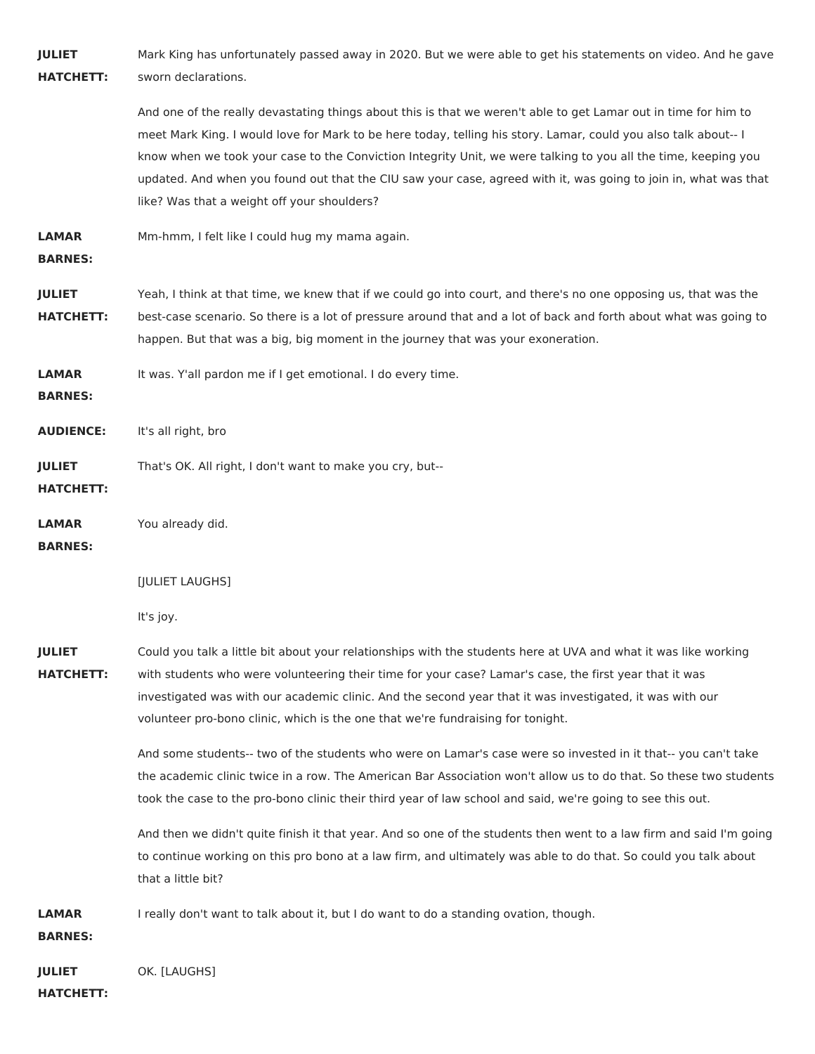**JULIET HATCHETT:** Mark King has unfortunately passed away in 2020. But we were able to get his statements on video. And he gave sworn declarations.

> And one of the really devastating things about this is that we weren't able to get Lamar out in time for him to meet Mark King. I would love for Mark to be here today, telling his story. Lamar, could you also talk about-- I know when we took your case to the Conviction Integrity Unit, we were talking to you all the time, keeping you updated. And when you found out that the CIU saw your case, agreed with it, was going to join in, what was that like? Was that a weight off your shoulders?

**LAMAR** Mm-hmm, I felt like I could hug my mama again.

**BARNES:**

**JULIET HATCHETT:** Yeah, I think at that time, we knew that if we could go into court, and there's no one opposing us, that was the best-case scenario. So there is a lot of pressure around that and a lot of back and forth about what was going to happen. But that was a big, big moment in the journey that was your exoneration.

**LAMAR** It was. Y'all pardon me if I get emotional. I do every time.

**BARNES:**

**AUDIENCE:** It's all right, bro

**JULIET** That's OK. All right, I don't want to make you cry, but--

**HATCHETT:**

**LAMAR** You already did.

**BARNES:**

[JULIET LAUGHS]

It's joy.

**JULIET HATCHETT:** Could you talk a little bit about your relationships with the students here at UVA and what it was like working with students who were volunteering their time for your case? Lamar's case, the first year that it was investigated was with our academic clinic. And the second year that it was investigated, it was with our volunteer pro-bono clinic, which is the one that we're fundraising for tonight.

> And some students-- two of the students who were on Lamar's case were so invested in it that-- you can't take the academic clinic twice in a row. The American Bar Association won't allow us to do that. So these two students took the case to the pro-bono clinic their third year of law school and said, we're going to see this out.

> And then we didn't quite finish it that year. And so one of the students then went to a law firm and said I'm going to continue working on this pro bono at a law firm, and ultimately was able to do that. So could you talk about that a little bit?

**LAMAR** I really don't want to talk about it, but I do want to do a standing ovation, though.

**BARNES:**

**JULIET** OK. [LAUGHS]

**HATCHETT:**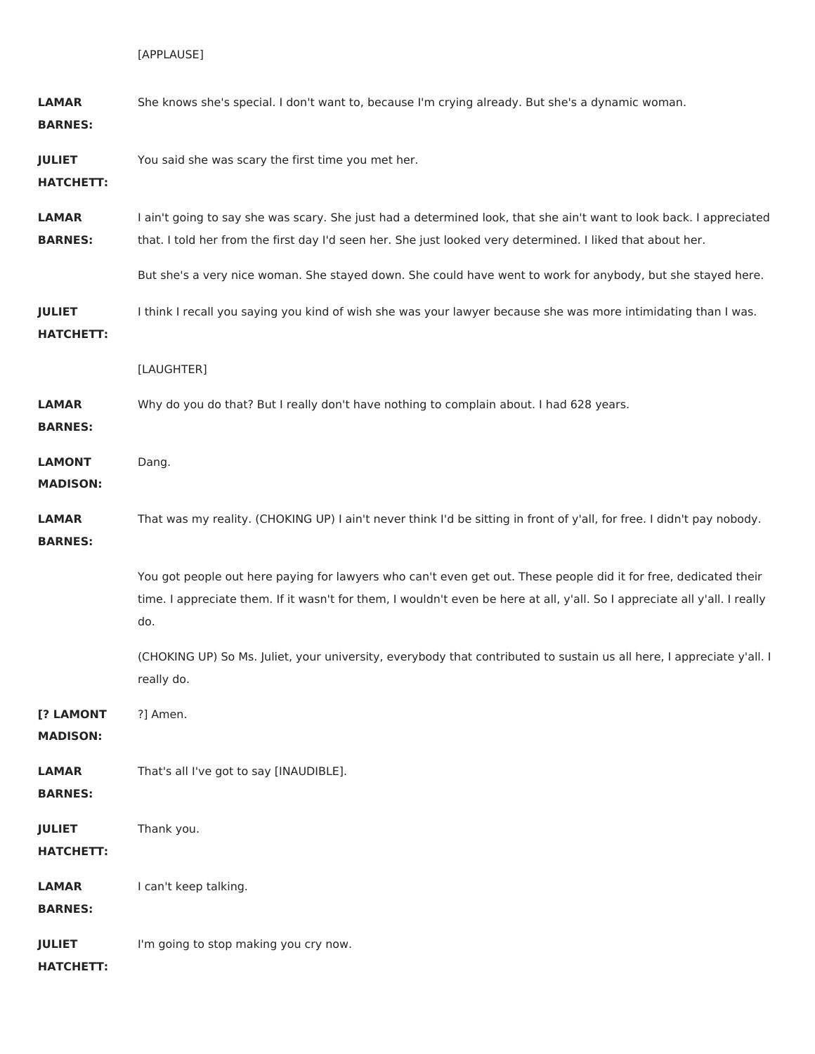| <b>LAMAR</b><br><b>BARNES:</b>    | She knows she's special. I don't want to, because I'm crying already. But she's a dynamic woman.                                                                                                                                                                                                                                                 |
|-----------------------------------|--------------------------------------------------------------------------------------------------------------------------------------------------------------------------------------------------------------------------------------------------------------------------------------------------------------------------------------------------|
| <b>JULIET</b><br><b>HATCHETT:</b> | You said she was scary the first time you met her.                                                                                                                                                                                                                                                                                               |
| <b>LAMAR</b><br><b>BARNES:</b>    | I ain't going to say she was scary. She just had a determined look, that she ain't want to look back. I appreciated<br>that. I told her from the first day I'd seen her. She just looked very determined. I liked that about her.<br>But she's a very nice woman. She stayed down. She could have went to work for anybody, but she stayed here. |
| <b>JULIET</b><br><b>HATCHETT:</b> | I think I recall you saying you kind of wish she was your lawyer because she was more intimidating than I was.                                                                                                                                                                                                                                   |
|                                   | [LAUGHTER]                                                                                                                                                                                                                                                                                                                                       |
| <b>LAMAR</b><br><b>BARNES:</b>    | Why do you do that? But I really don't have nothing to complain about. I had 628 years.                                                                                                                                                                                                                                                          |
| <b>LAMONT</b><br><b>MADISON:</b>  | Dang.                                                                                                                                                                                                                                                                                                                                            |
| <b>LAMAR</b><br><b>BARNES:</b>    | That was my reality. (CHOKING UP) I ain't never think I'd be sitting in front of y'all, for free. I didn't pay nobody.                                                                                                                                                                                                                           |
|                                   | You got people out here paying for lawyers who can't even get out. These people did it for free, dedicated their<br>time. I appreciate them. If it wasn't for them, I wouldn't even be here at all, y'all. So I appreciate all y'all. I really<br>do.                                                                                            |
|                                   | (CHOKING UP) So Ms. Juliet, your university, everybody that contributed to sustain us all here, I appreciate y'all. I<br>really do.                                                                                                                                                                                                              |
| [? LAMONT<br><b>MADISON:</b>      | ?] Amen.                                                                                                                                                                                                                                                                                                                                         |
| <b>LAMAR</b><br><b>BARNES:</b>    | That's all I've got to say [INAUDIBLE].                                                                                                                                                                                                                                                                                                          |
| <b>JULIET</b><br><b>HATCHETT:</b> | Thank you.                                                                                                                                                                                                                                                                                                                                       |
| <b>LAMAR</b><br><b>BARNES:</b>    | I can't keep talking.                                                                                                                                                                                                                                                                                                                            |
| <b>JULIET</b><br><b>HATCHETT:</b> | I'm going to stop making you cry now.                                                                                                                                                                                                                                                                                                            |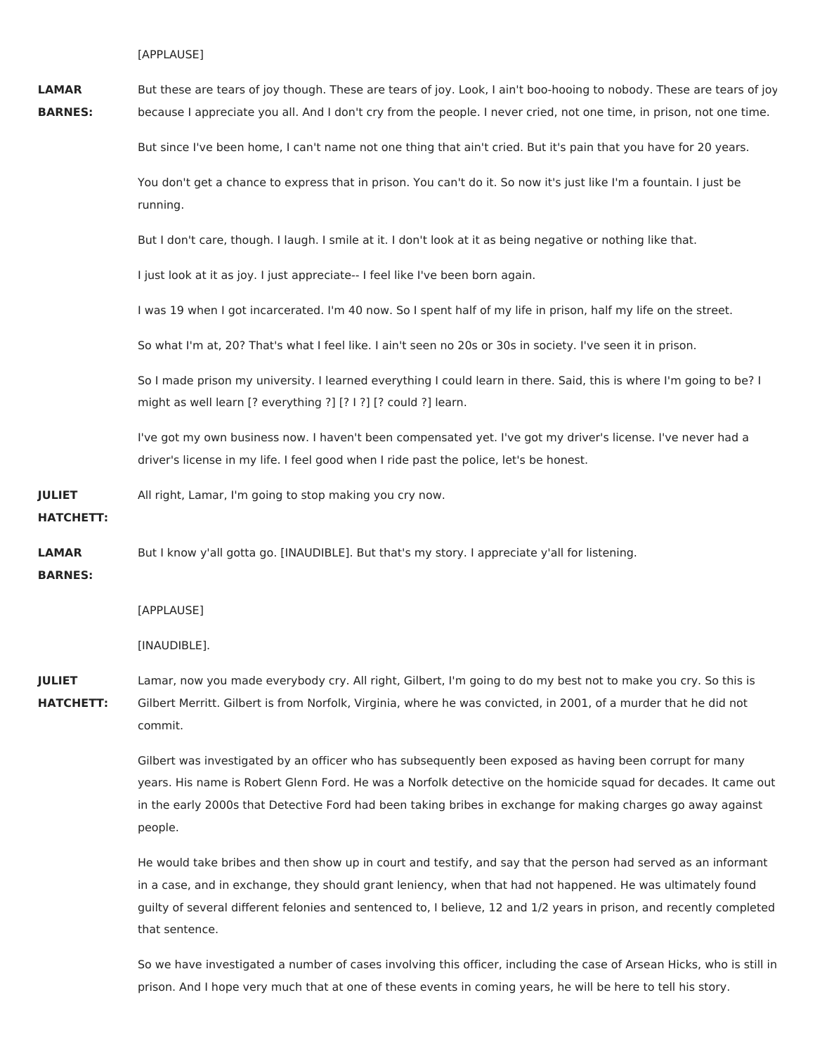[APPLAUSE]

**LAMAR BARNES:** But these are tears of joy though. These are tears of joy. Look, I ain't boo-hooing to nobody. These are tears of joy because I appreciate you all. And I don't cry from the people. I never cried, not one time, in prison, not one time.

But since I've been home, I can't name not one thing that ain't cried. But it's pain that you have for 20 years.

You don't get a chance to express that in prison. You can't do it. So now it's just like I'm a fountain. I just be running.

But I don't care, though. I laugh. I smile at it. I don't look at it as being negative or nothing like that.

I just look at it as joy. I just appreciate-- I feel like I've been born again.

I was 19 when I got incarcerated. I'm 40 now. So I spent half of my life in prison, half my life on the street.

So what I'm at, 20? That's what I feel like. I ain't seen no 20s or 30s in society. I've seen it in prison.

So I made prison my university. I learned everything I could learn in there. Said, this is where I'm going to be? I might as well learn [? everything ?] [? I ?] [? could ?] learn.

I've got my own business now. I haven't been compensated yet. I've got my driver's license. I've never had a driver's license in my life. I feel good when I ride past the police, let's be honest.

**JULIET** All right, Lamar, I'm going to stop making you cry now.

**HATCHETT:**

**LAMAR** But I know y'all gotta go. [INAUDIBLE]. But that's my story. I appreciate y'all for listening.

**BARNES:**

[APPLAUSE]

[INAUDIBLE].

**JULIET HATCHETT:** Lamar, now you made everybody cry. All right, Gilbert, I'm going to do my best not to make you cry. So this is Gilbert Merritt. Gilbert is from Norfolk, Virginia, where he was convicted, in 2001, of a murder that he did not commit.

> Gilbert was investigated by an officer who has subsequently been exposed as having been corrupt for many years. His name is Robert Glenn Ford. He was a Norfolk detective on the homicide squad for decades. It came out in the early 2000s that Detective Ford had been taking bribes in exchange for making charges go away against people.

> He would take bribes and then show up in court and testify, and say that the person had served as an informant in a case, and in exchange, they should grant leniency, when that had not happened. He was ultimately found guilty of several different felonies and sentenced to, I believe, 12 and 1/2 years in prison, and recently completed that sentence.

> So we have investigated a number of cases involving this officer, including the case of Arsean Hicks, who is still in prison. And I hope very much that at one of these events in coming years, he will be here to tell his story.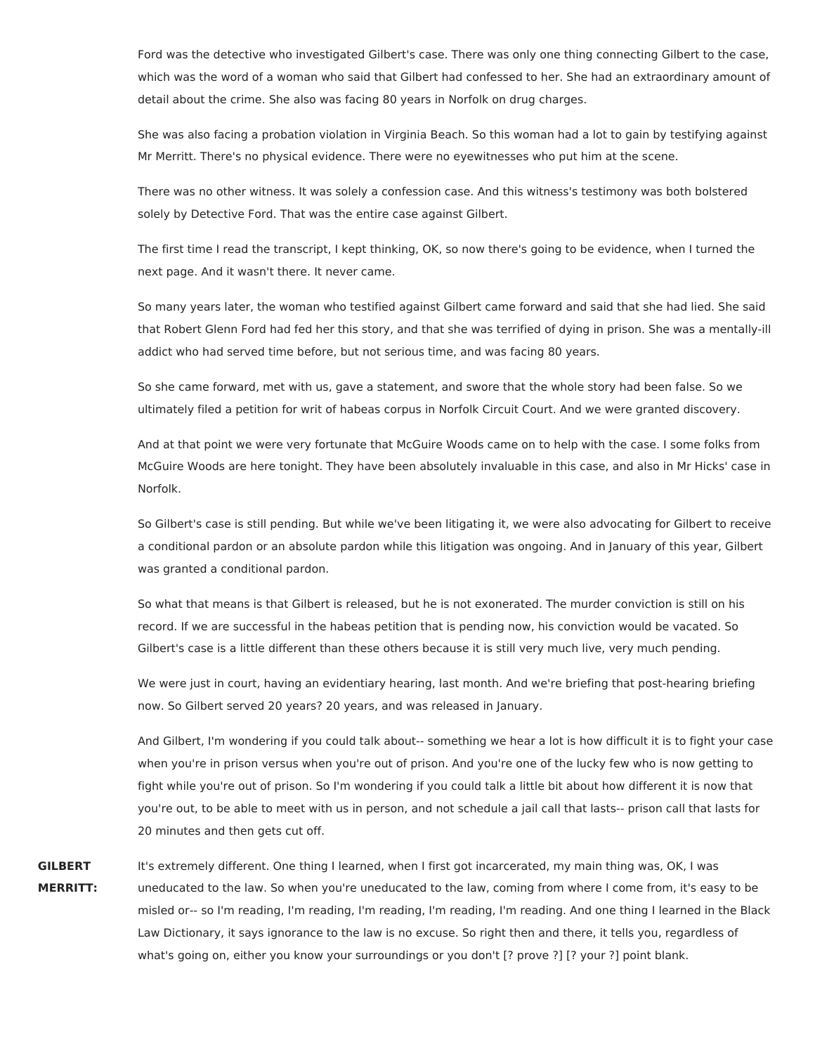Ford was the detective who investigated Gilbert's case. There was only one thing connecting Gilbert to the case, which was the word of a woman who said that Gilbert had confessed to her. She had an extraordinary amount of detail about the crime. She also was facing 80 years in Norfolk on drug charges.

She was also facing a probation violation in Virginia Beach. So this woman had a lot to gain by testifying against Mr Merritt. There's no physical evidence. There were no eyewitnesses who put him at the scene.

There was no other witness. It was solely a confession case. And this witness's testimony was both bolstered solely by Detective Ford. That was the entire case against Gilbert.

The first time I read the transcript, I kept thinking, OK, so now there's going to be evidence, when I turned the next page. And it wasn't there. It never came.

So many years later, the woman who testified against Gilbert came forward and said that she had lied. She said that Robert Glenn Ford had fed her this story, and that she was terrified of dying in prison. She was a mentally-ill addict who had served time before, but not serious time, and was facing 80 years.

So she came forward, met with us, gave a statement, and swore that the whole story had been false. So we ultimately filed a petition for writ of habeas corpus in Norfolk Circuit Court. And we were granted discovery.

And at that point we were very fortunate that McGuire Woods came on to help with the case. I some folks from McGuire Woods are here tonight. They have been absolutely invaluable in this case, and also in Mr Hicks' case in Norfolk.

So Gilbert's case is still pending. But while we've been litigating it, we were also advocating for Gilbert to receive a conditional pardon or an absolute pardon while this litigation was ongoing. And in January of this year, Gilbert was granted a conditional pardon.

So what that means is that Gilbert is released, but he is not exonerated. The murder conviction is still on his record. If we are successful in the habeas petition that is pending now, his conviction would be vacated. So Gilbert's case is a little different than these others because it is still very much live, very much pending.

We were just in court, having an evidentiary hearing, last month. And we're briefing that post-hearing briefing now. So Gilbert served 20 years? 20 years, and was released in January.

And Gilbert, I'm wondering if you could talk about-- something we hear a lot is how difficult it is to fight your case when you're in prison versus when you're out of prison. And you're one of the lucky few who is now getting to fight while you're out of prison. So I'm wondering if you could talk a little bit about how different it is now that you're out, to be able to meet with us in person, and not schedule a jail call that lasts-- prison call that lasts for 20 minutes and then gets cut off.

**GILBERT MERRITT:** It's extremely different. One thing I learned, when I first got incarcerated, my main thing was, OK, I was uneducated to the law. So when you're uneducated to the law, coming from where I come from, it's easy to be misled or-- so I'm reading, I'm reading, I'm reading, I'm reading, I'm reading. And one thing I learned in the Black Law Dictionary, it says ignorance to the law is no excuse. So right then and there, it tells you, regardless of what's going on, either you know your surroundings or you don't [? prove ?] [? your ?] point blank.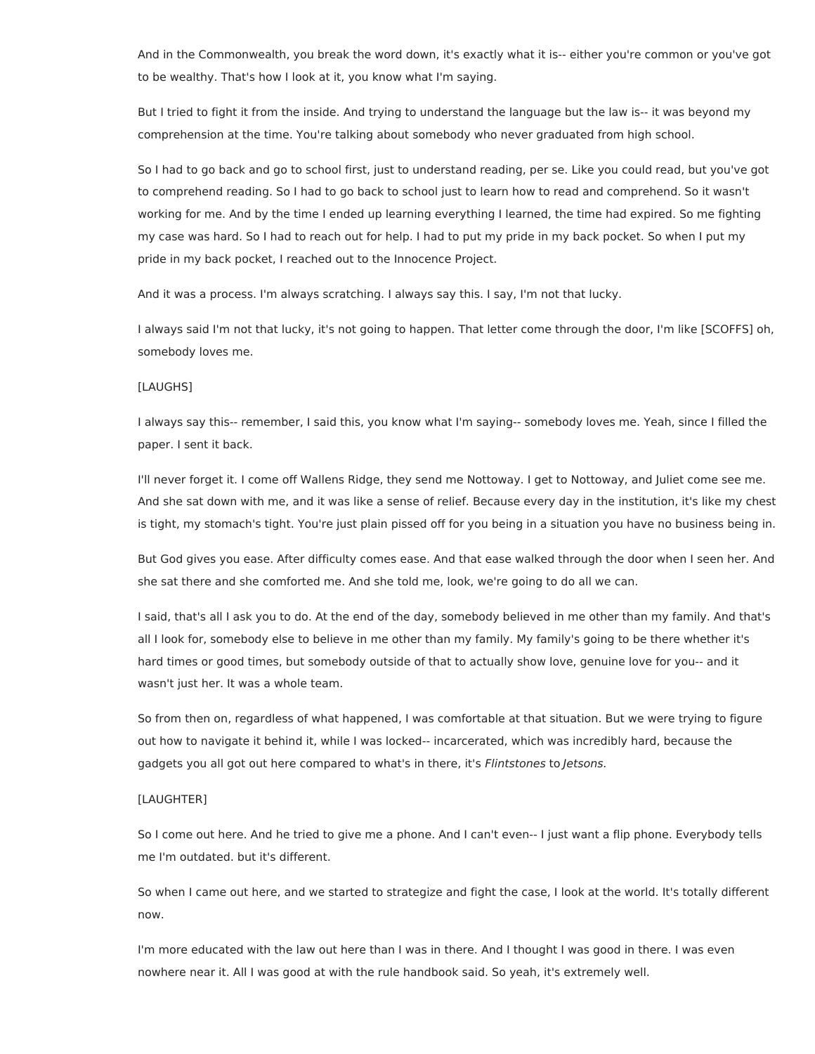And in the Commonwealth, you break the word down, it's exactly what it is-- either you're common or you've got to be wealthy. That's how I look at it, you know what I'm saying.

But I tried to fight it from the inside. And trying to understand the language but the law is-- it was beyond my comprehension at the time. You're talking about somebody who never graduated from high school.

So I had to go back and go to school first, just to understand reading, per se. Like you could read, but you've got to comprehend reading. So I had to go back to school just to learn how to read and comprehend. So it wasn't working for me. And by the time I ended up learning everything I learned, the time had expired. So me fighting my case was hard. So I had to reach out for help. I had to put my pride in my back pocket. So when I put my pride in my back pocket, I reached out to the Innocence Project.

And it was a process. I'm always scratching. I always say this. I say, I'm not that lucky.

I always said I'm not that lucky, it's not going to happen. That letter come through the door, I'm like [SCOFFS] oh, somebody loves me.

## [LAUGHS]

I always say this-- remember, I said this, you know what I'm saying-- somebody loves me. Yeah, since I filled the paper. I sent it back.

I'll never forget it. I come off Wallens Ridge, they send me Nottoway. I get to Nottoway, and Juliet come see me. And she sat down with me, and it was like a sense of relief. Because every day in the institution, it's like my chest is tight, my stomach's tight. You're just plain pissed off for you being in a situation you have no business being in.

But God gives you ease. After difficulty comes ease. And that ease walked through the door when I seen her. And she sat there and she comforted me. And she told me, look, we're going to do all we can.

I said, that's all I ask you to do. At the end of the day, somebody believed in me other than my family. And that's all I look for, somebody else to believe in me other than my family. My family's going to be there whether it's hard times or good times, but somebody outside of that to actually show love, genuine love for you-- and it wasn't just her. It was a whole team.

So from then on, regardless of what happened, I was comfortable at that situation. But we were trying to figure out how to navigate it behind it, while I was locked-- incarcerated, which was incredibly hard, because the gadgets you all got out here compared to what's in there, it's Flintstones to Jetsons.

#### [LAUGHTER]

So I come out here. And he tried to give me a phone. And I can't even-- I just want a flip phone. Everybody tells me I'm outdated. but it's different.

So when I came out here, and we started to strategize and fight the case, I look at the world. It's totally different now.

I'm more educated with the law out here than I was in there. And I thought I was good in there. I was even nowhere near it. All I was good at with the rule handbook said. So yeah, it's extremely well.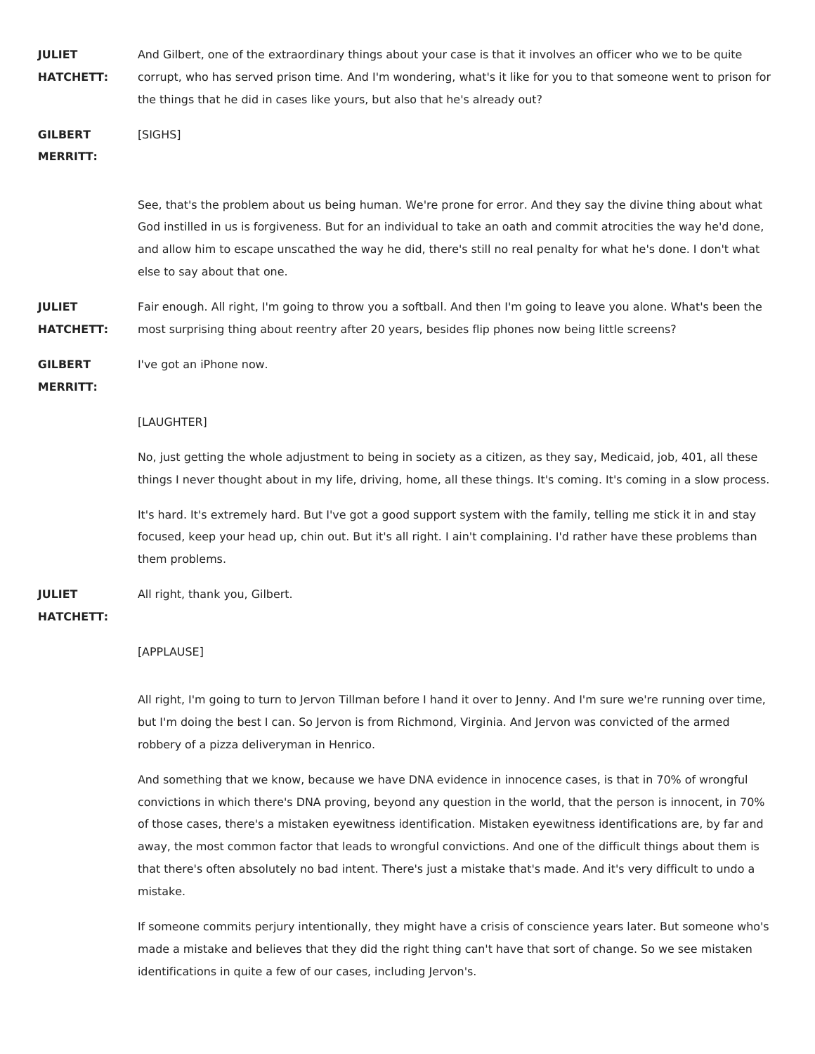| <b>IULIET</b>    | And Gilbert, one of the extraordinary things about your case is that it involves an officer who we to be quite    |
|------------------|-------------------------------------------------------------------------------------------------------------------|
| <b>HATCHETT:</b> | corrupt, who has served prison time. And I'm wondering, what's it like for you to that someone went to prison for |
|                  | the things that he did in cases like yours, but also that he's already out?                                       |

**GILBERT** [SIGHS]

## **MERRITT:**

See, that's the problem about us being human. We're prone for error. And they say the divine thing about what God instilled in us is forgiveness. But for an individual to take an oath and commit atrocities the way he'd done, and allow him to escape unscathed the way he did, there's still no real penalty for what he's done. I don't what else to say about that one.

**JULIET HATCHETT:** Fair enough. All right, I'm going to throw you a softball. And then I'm going to leave you alone. What's been the most surprising thing about reentry after 20 years, besides flip phones now being little screens?

**GILBERT** I've got an iPhone now.

**MERRITT:**

## [LAUGHTER]

No, just getting the whole adjustment to being in society as a citizen, as they say, Medicaid, job, 401, all these things I never thought about in my life, driving, home, all these things. It's coming. It's coming in a slow process.

It's hard. It's extremely hard. But I've got a good support system with the family, telling me stick it in and stay focused, keep your head up, chin out. But it's all right. I ain't complaining. I'd rather have these problems than them problems.

**JULIET** All right, thank you, Gilbert.

## **HATCHETT:**

## [APPLAUSE]

All right, I'm going to turn to Jervon Tillman before I hand it over to Jenny. And I'm sure we're running over time, but I'm doing the best I can. So Jervon is from Richmond, Virginia. And Jervon was convicted of the armed robbery of a pizza deliveryman in Henrico.

And something that we know, because we have DNA evidence in innocence cases, is that in 70% of wrongful convictions in which there's DNA proving, beyond any question in the world, that the person is innocent, in 70% of those cases, there's a mistaken eyewitness identification. Mistaken eyewitness identifications are, by far and away, the most common factor that leads to wrongful convictions. And one of the difficult things about them is that there's often absolutely no bad intent. There's just a mistake that's made. And it's very difficult to undo a mistake.

If someone commits perjury intentionally, they might have a crisis of conscience years later. But someone who's made a mistake and believes that they did the right thing can't have that sort of change. So we see mistaken identifications in quite a few of our cases, including Jervon's.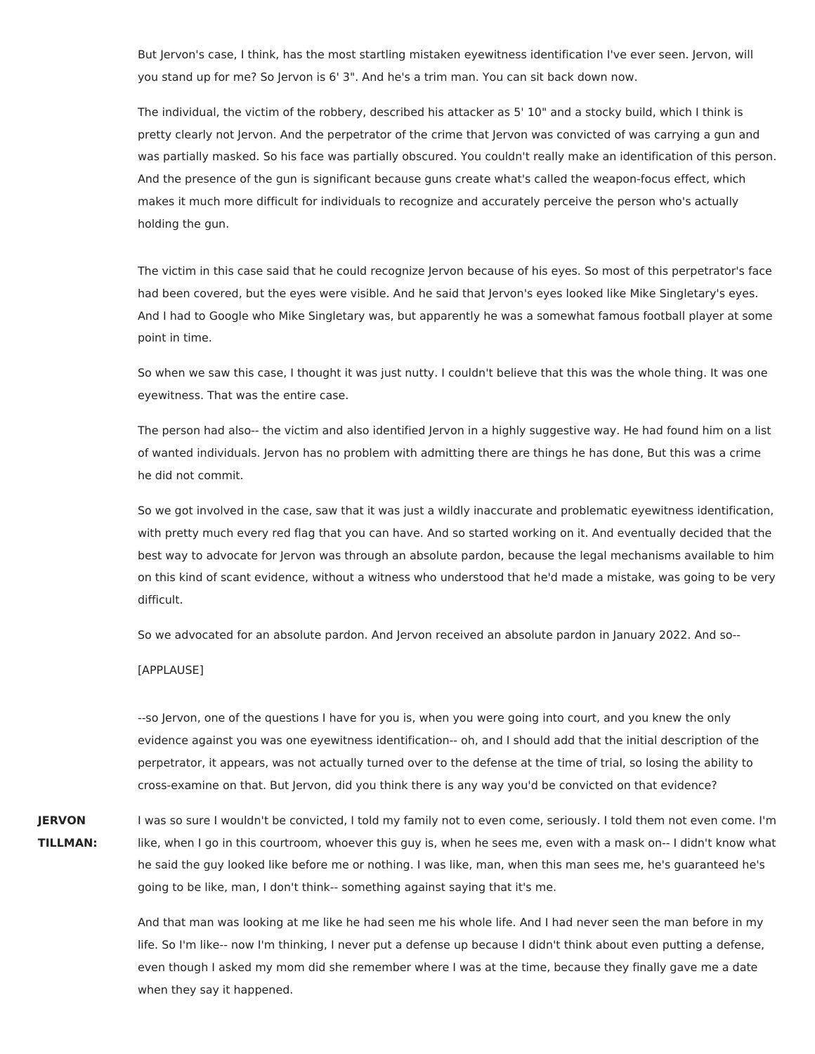But Jervon's case, I think, has the most startling mistaken eyewitness identification I've ever seen. Jervon, will you stand up for me? So Jervon is 6' 3". And he's a trim man. You can sit back down now.

The individual, the victim of the robbery, described his attacker as 5' 10" and a stocky build, which I think is pretty clearly not Jervon. And the perpetrator of the crime that Jervon was convicted of was carrying a gun and was partially masked. So his face was partially obscured. You couldn't really make an identification of this person. And the presence of the gun is significant because guns create what's called the weapon-focus effect, which makes it much more difficult for individuals to recognize and accurately perceive the person who's actually holding the gun.

The victim in this case said that he could recognize Jervon because of his eyes. So most of this perpetrator's face had been covered, but the eyes were visible. And he said that Jervon's eyes looked like Mike Singletary's eyes. And I had to Google who Mike Singletary was, but apparently he was a somewhat famous football player at some point in time.

So when we saw this case, I thought it was just nutty. I couldn't believe that this was the whole thing. It was one eyewitness. That was the entire case.

The person had also-- the victim and also identified Jervon in a highly suggestive way. He had found him on a list of wanted individuals. Jervon has no problem with admitting there are things he has done, But this was a crime he did not commit.

So we got involved in the case, saw that it was just a wildly inaccurate and problematic eyewitness identification, with pretty much every red flag that you can have. And so started working on it. And eventually decided that the best way to advocate for Jervon was through an absolute pardon, because the legal mechanisms available to him on this kind of scant evidence, without a witness who understood that he'd made a mistake, was going to be very difficult.

So we advocated for an absolute pardon. And Jervon received an absolute pardon in January 2022. And so--

#### [APPLAUSE]

--so Jervon, one of the questions I have for you is, when you were going into court, and you knew the only evidence against you was one eyewitness identification-- oh, and I should add that the initial description of the perpetrator, it appears, was not actually turned over to the defense at the time of trial, so losing the ability to cross-examine on that. But Jervon, did you think there is any way you'd be convicted on that evidence?

**JERVON TILLMAN:** I was so sure I wouldn't be convicted, I told my family not to even come, seriously. I told them not even come. I'm like, when I go in this courtroom, whoever this guy is, when he sees me, even with a mask on-- I didn't know what he said the guy looked like before me or nothing. I was like, man, when this man sees me, he's guaranteed he's going to be like, man, I don't think-- something against saying that it's me.

> And that man was looking at me like he had seen me his whole life. And I had never seen the man before in my life. So I'm like-- now I'm thinking, I never put a defense up because I didn't think about even putting a defense, even though I asked my mom did she remember where I was at the time, because they finally gave me a date when they say it happened.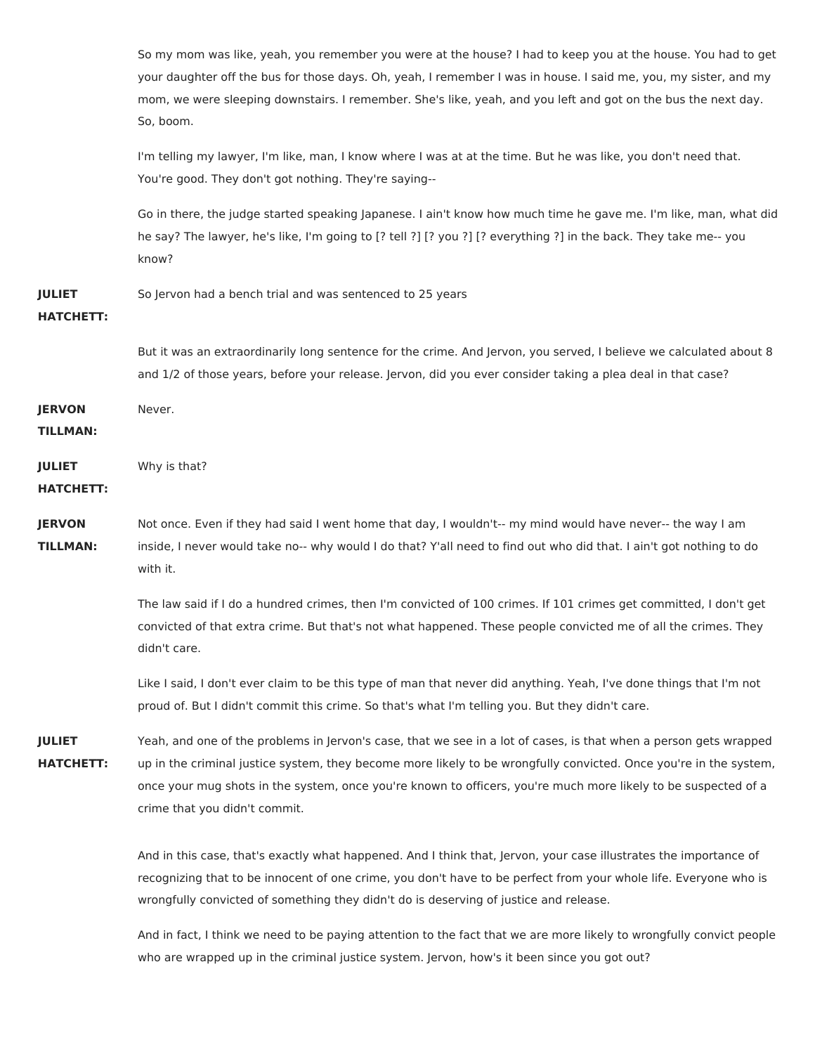|                                   | So my mom was like, yeah, you remember you were at the house? I had to keep you at the house. You had to get<br>your daughter off the bus for those days. Oh, yeah, I remember I was in house. I said me, you, my sister, and my<br>mom, we were sleeping downstairs. I remember. She's like, yeah, and you left and got on the bus the next day.<br>So, boom.                            |
|-----------------------------------|-------------------------------------------------------------------------------------------------------------------------------------------------------------------------------------------------------------------------------------------------------------------------------------------------------------------------------------------------------------------------------------------|
|                                   | I'm telling my lawyer, I'm like, man, I know where I was at at the time. But he was like, you don't need that.<br>You're good. They don't got nothing. They're saying--                                                                                                                                                                                                                   |
|                                   | Go in there, the judge started speaking Japanese. I ain't know how much time he gave me. I'm like, man, what did<br>he say? The lawyer, he's like, I'm going to [? tell ?] [? you ?] [? everything ?] in the back. They take me-- you<br>know?                                                                                                                                            |
| <b>JULIET</b><br><b>HATCHETT:</b> | So Jervon had a bench trial and was sentenced to 25 years                                                                                                                                                                                                                                                                                                                                 |
|                                   | But it was an extraordinarily long sentence for the crime. And Jervon, you served, I believe we calculated about 8<br>and 1/2 of those years, before your release. Jervon, did you ever consider taking a plea deal in that case?                                                                                                                                                         |
| <b>JERVON</b><br><b>TILLMAN:</b>  | Never.                                                                                                                                                                                                                                                                                                                                                                                    |
| <b>JULIET</b><br><b>HATCHETT:</b> | Why is that?                                                                                                                                                                                                                                                                                                                                                                              |
| <b>JERVON</b><br><b>TILLMAN:</b>  | Not once. Even if they had said I went home that day, I wouldn't-- my mind would have never-- the way I am<br>inside, I never would take no-- why would I do that? Y'all need to find out who did that. I ain't got nothing to do<br>with it.                                                                                                                                             |
|                                   | The law said if I do a hundred crimes, then I'm convicted of 100 crimes. If 101 crimes get committed, I don't get<br>convicted of that extra crime. But that's not what happened. These people convicted me of all the crimes. They<br>didn't care.                                                                                                                                       |
|                                   | Like I said, I don't ever claim to be this type of man that never did anything. Yeah, I've done things that I'm not<br>proud of. But I didn't commit this crime. So that's what I'm telling you. But they didn't care.                                                                                                                                                                    |
| <b>JULIET</b><br><b>HATCHETT:</b> | Yeah, and one of the problems in Jervon's case, that we see in a lot of cases, is that when a person gets wrapped<br>up in the criminal justice system, they become more likely to be wrongfully convicted. Once you're in the system,<br>once your mug shots in the system, once you're known to officers, you're much more likely to be suspected of a<br>crime that you didn't commit. |
|                                   | And in this case, that's exactly what happened. And I think that, Jervon, your case illustrates the importance of<br>recognizing that to be innocent of one crime, you don't have to be perfect from your whole life. Everyone who is<br>wrongfully convicted of something they didn't do is deserving of justice and release.                                                            |
|                                   | And in fact, I think we need to be paying attention to the fact that we are more likely to wrongfully convict people                                                                                                                                                                                                                                                                      |

who are wrapped up in the criminal justice system. Jervon, how's it been since you got out?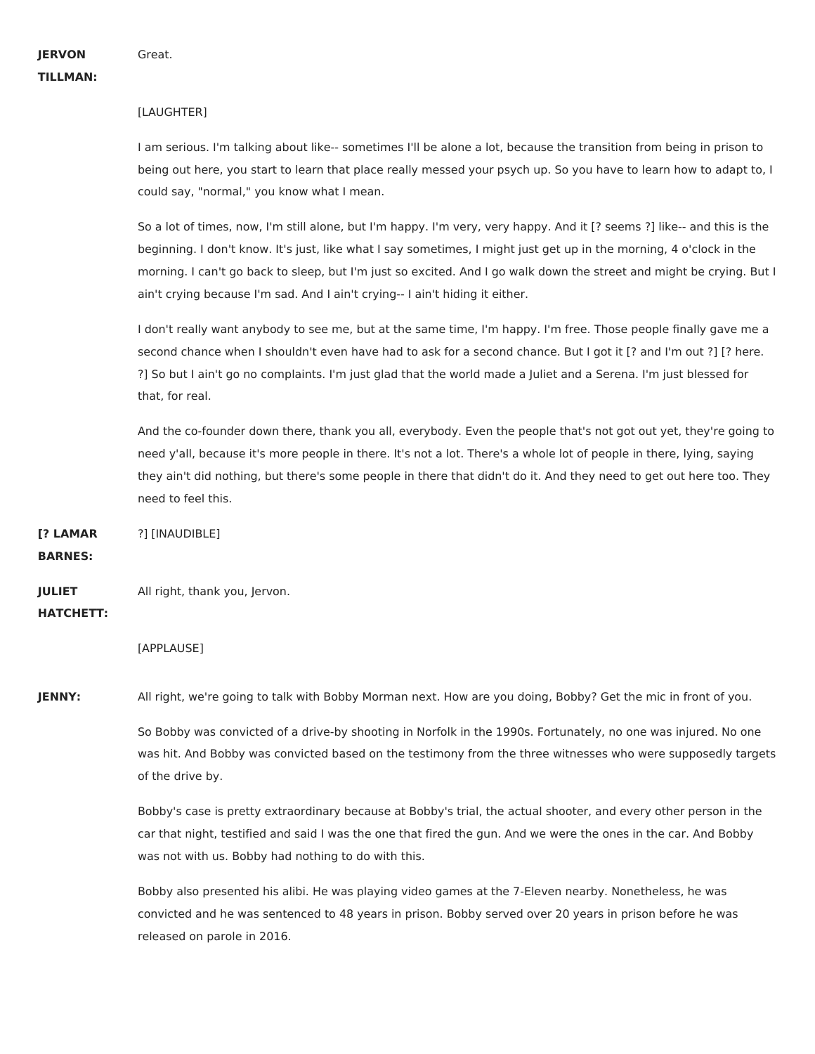**JERVON TILLMAN:**

## [LAUGHTER]

I am serious. I'm talking about like-- sometimes I'll be alone a lot, because the transition from being in prison to being out here, you start to learn that place really messed your psych up. So you have to learn how to adapt to, I could say, "normal," you know what I mean.

So a lot of times, now, I'm still alone, but I'm happy. I'm very, very happy. And it [? seems ?] like-- and this is the beginning. I don't know. It's just, like what I say sometimes, I might just get up in the morning, 4 o'clock in the morning. I can't go back to sleep, but I'm just so excited. And I go walk down the street and might be crying. But I ain't crying because I'm sad. And I ain't crying-- I ain't hiding it either.

I don't really want anybody to see me, but at the same time, I'm happy. I'm free. Those people finally gave me a second chance when I shouldn't even have had to ask for a second chance. But I got it [? and I'm out ?] [? here. ?] So but I ain't go no complaints. I'm just glad that the world made a Juliet and a Serena. I'm just blessed for that, for real.

And the co-founder down there, thank you all, everybody. Even the people that's not got out yet, they're going to need y'all, because it's more people in there. It's not a lot. There's a whole lot of people in there, lying, saying they ain't did nothing, but there's some people in there that didn't do it. And they need to get out here too. They need to feel this.

**[? LAMAR** ?] [INAUDIBLE]

**BARNES:**

**JULIET** All right, thank you, Jervon.

## **HATCHETT:**

[APPLAUSE]

**JENNY:** All right, we're going to talk with Bobby Morman next. How are you doing, Bobby? Get the mic in front of you.

So Bobby was convicted of a drive-by shooting in Norfolk in the 1990s. Fortunately, no one was injured. No one was hit. And Bobby was convicted based on the testimony from the three witnesses who were supposedly targets of the drive by.

Bobby's case is pretty extraordinary because at Bobby's trial, the actual shooter, and every other person in the car that night, testified and said I was the one that fired the gun. And we were the ones in the car. And Bobby was not with us. Bobby had nothing to do with this.

Bobby also presented his alibi. He was playing video games at the 7-Eleven nearby. Nonetheless, he was convicted and he was sentenced to 48 years in prison. Bobby served over 20 years in prison before he was released on parole in 2016.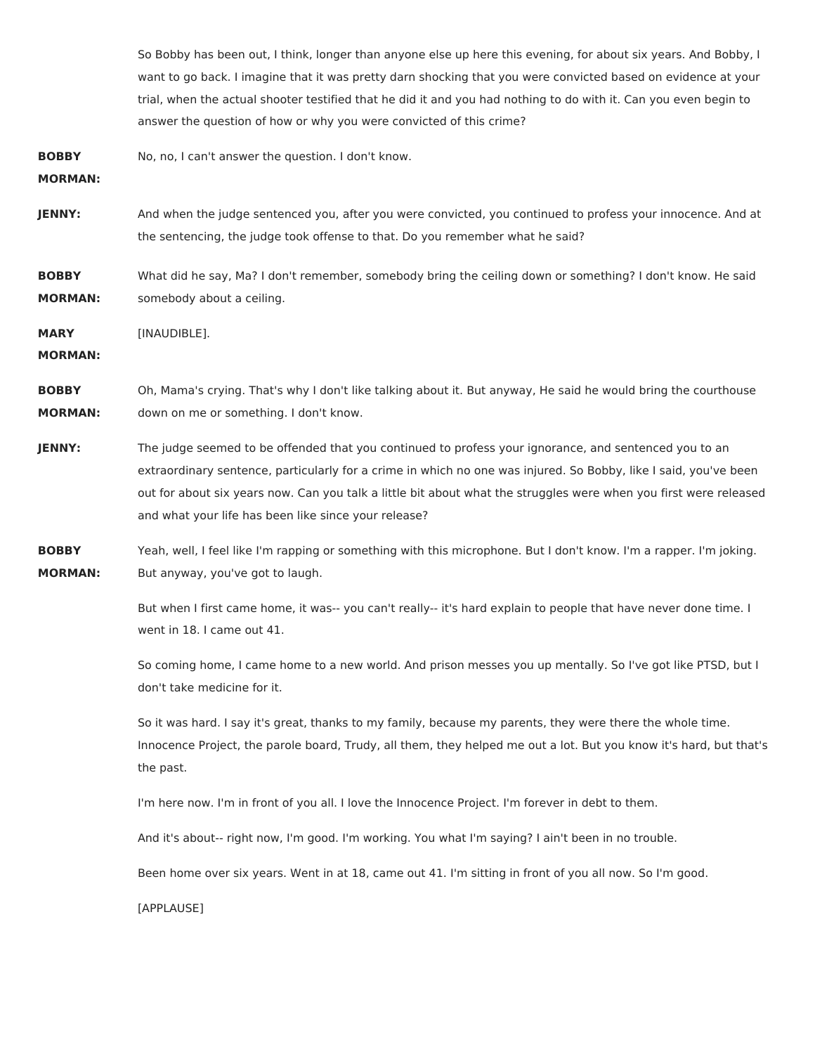So Bobby has been out, I think, longer than anyone else up here this evening, for about six years. And Bobby, I want to go back. I imagine that it was pretty darn shocking that you were convicted based on evidence at your trial, when the actual shooter testified that he did it and you had nothing to do with it. Can you even begin to answer the question of how or why you were convicted of this crime?

**BOBBY** No, no, I can't answer the question. I don't know.

**MORMAN:**

**JENNY:** And when the judge sentenced you, after you were convicted, you continued to profess your innocence. And at the sentencing, the judge took offense to that. Do you remember what he said?

**BOBBY MORMAN:** What did he say, Ma? I don't remember, somebody bring the ceiling down or something? I don't know. He said somebody about a ceiling.

**MARY** [INAUDIBLE].

**MORMAN:**

**BOBBY MORMAN:** Oh, Mama's crying. That's why I don't like talking about it. But anyway, He said he would bring the courthouse down on me or something. I don't know.

- **JENNY:** The judge seemed to be offended that you continued to profess your ignorance, and sentenced you to an extraordinary sentence, particularly for a crime in which no one was injured. So Bobby, like I said, you've been out for about six years now. Can you talk a little bit about what the struggles were when you first were released and what your life has been like since your release?
- **BOBBY MORMAN:** Yeah, well, I feel like I'm rapping or something with this microphone. But I don't know. I'm a rapper. I'm joking. But anyway, you've got to laugh.

But when I first came home, it was-- you can't really-- it's hard explain to people that have never done time. I went in 18. I came out 41.

So coming home, I came home to a new world. And prison messes you up mentally. So I've got like PTSD, but I don't take medicine for it.

So it was hard. I say it's great, thanks to my family, because my parents, they were there the whole time. Innocence Project, the parole board, Trudy, all them, they helped me out a lot. But you know it's hard, but that's the past.

I'm here now. I'm in front of you all. I love the Innocence Project. I'm forever in debt to them.

And it's about-- right now, I'm good. I'm working. You what I'm saying? I ain't been in no trouble.

Been home over six years. Went in at 18, came out 41. I'm sitting in front of you all now. So I'm good.

[APPLAUSE]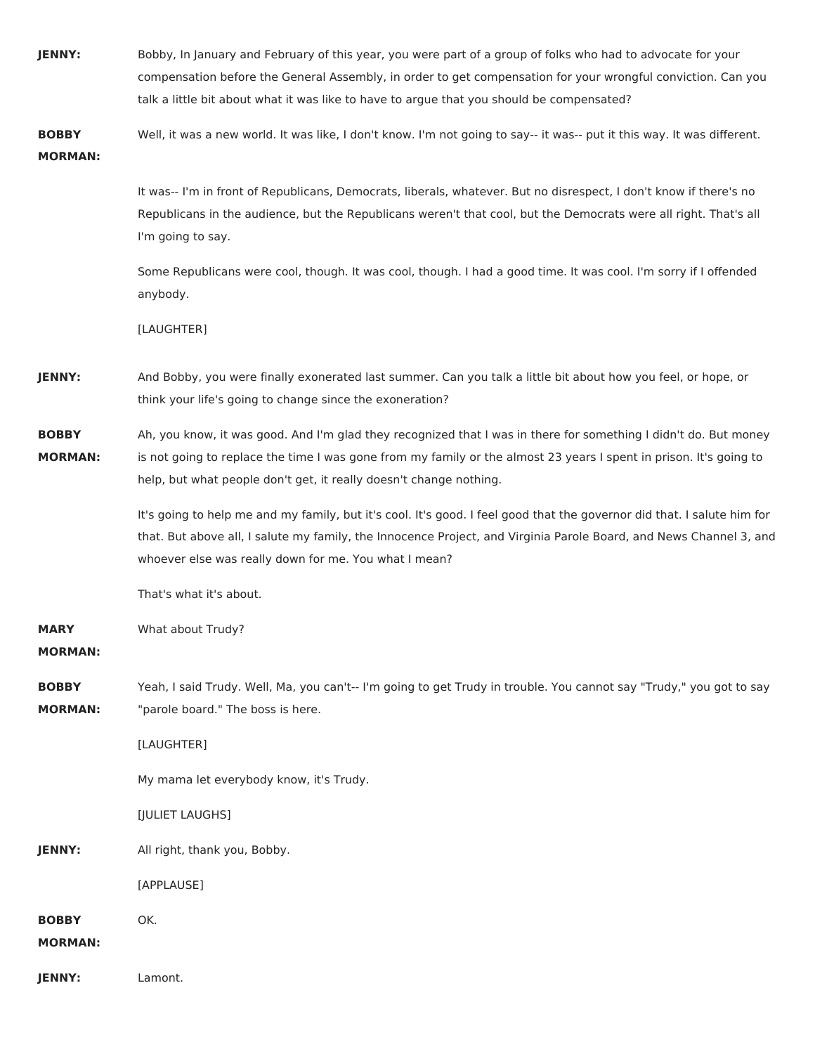| JENNY:                         | Bobby, In January and February of this year, you were part of a group of folks who had to advocate for your                                                                                                                                                                                                  |
|--------------------------------|--------------------------------------------------------------------------------------------------------------------------------------------------------------------------------------------------------------------------------------------------------------------------------------------------------------|
|                                | compensation before the General Assembly, in order to get compensation for your wrongful conviction. Can you<br>talk a little bit about what it was like to have to argue that you should be compensated?                                                                                                    |
|                                |                                                                                                                                                                                                                                                                                                              |
| <b>BOBBY</b><br><b>MORMAN:</b> | Well, it was a new world. It was like, I don't know. I'm not going to say-- it was-- put it this way. It was different.                                                                                                                                                                                      |
|                                | It was-- I'm in front of Republicans, Democrats, liberals, whatever. But no disrespect, I don't know if there's no<br>Republicans in the audience, but the Republicans weren't that cool, but the Democrats were all right. That's all<br>I'm going to say.                                                  |
|                                | Some Republicans were cool, though. It was cool, though. I had a good time. It was cool. I'm sorry if I offended<br>anybody.                                                                                                                                                                                 |
|                                | [LAUGHTER]                                                                                                                                                                                                                                                                                                   |
| JENNY:                         | And Bobby, you were finally exonerated last summer. Can you talk a little bit about how you feel, or hope, or<br>think your life's going to change since the exoneration?                                                                                                                                    |
| <b>BOBBY</b><br><b>MORMAN:</b> | Ah, you know, it was good. And I'm glad they recognized that I was in there for something I didn't do. But money<br>is not going to replace the time I was gone from my family or the almost 23 years I spent in prison. It's going to<br>help, but what people don't get, it really doesn't change nothing. |
|                                | It's going to help me and my family, but it's cool. It's good. I feel good that the governor did that. I salute him for<br>that. But above all, I salute my family, the Innocence Project, and Virginia Parole Board, and News Channel 3, and<br>whoever else was really down for me. You what I mean?       |
|                                | That's what it's about.                                                                                                                                                                                                                                                                                      |
| <b>MARY</b><br><b>MORMAN:</b>  | What about Trudy?                                                                                                                                                                                                                                                                                            |
| <b>BOBBY</b><br><b>MORMAN:</b> | Yeah, I said Trudy. Well, Ma, you can't-- I'm going to get Trudy in trouble. You cannot say "Trudy," you got to say<br>"parole board." The boss is here.                                                                                                                                                     |
|                                | [LAUGHTER]                                                                                                                                                                                                                                                                                                   |
|                                | My mama let everybody know, it's Trudy.                                                                                                                                                                                                                                                                      |
|                                | [JULIET LAUGHS]                                                                                                                                                                                                                                                                                              |
| JENNY:                         | All right, thank you, Bobby.                                                                                                                                                                                                                                                                                 |
|                                | [APPLAUSE]                                                                                                                                                                                                                                                                                                   |
| <b>BOBBY</b><br><b>MORMAN:</b> | OK.                                                                                                                                                                                                                                                                                                          |
| JENNY:                         | Lamont.                                                                                                                                                                                                                                                                                                      |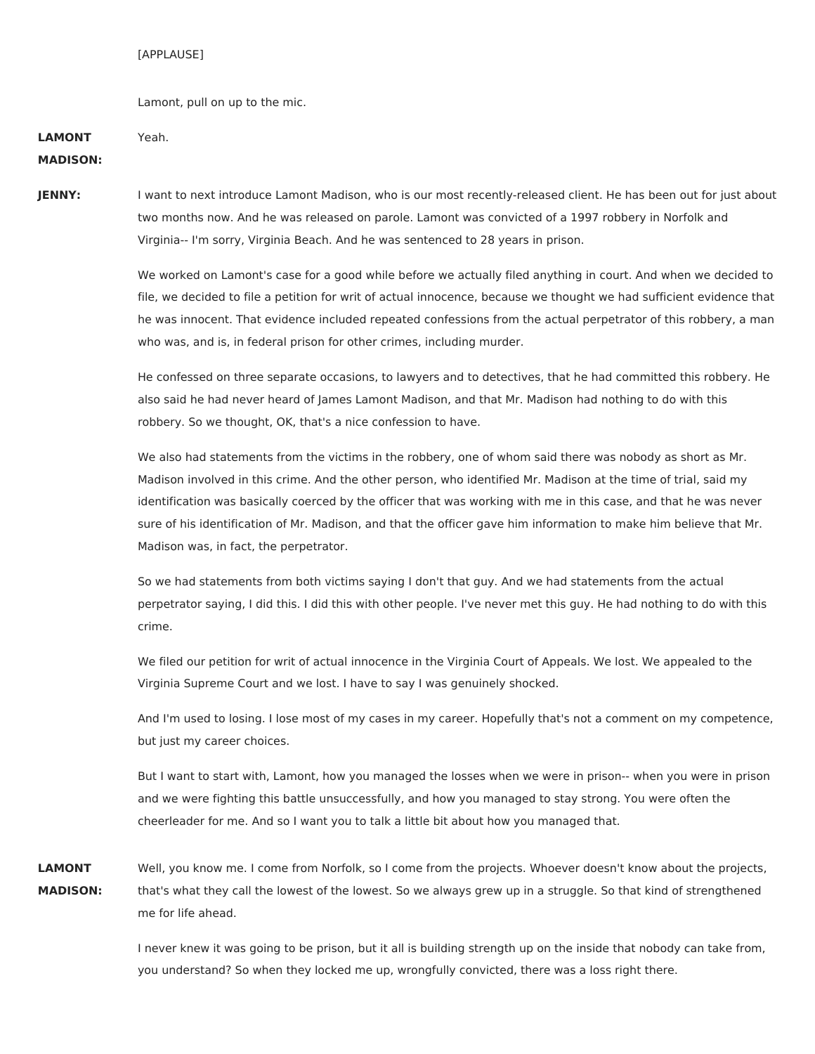### [APPLAUSE]

Lamont, pull on up to the mic.

| <b>LAMONT</b>   | Yeah. |
|-----------------|-------|
| <b>MADISON:</b> |       |

## JENNY: I want to next introduce Lamont Madison, who is our most recently-released client. He has been out for just about two months now. And he was released on parole. Lamont was convicted of a 1997 robbery in Norfolk and Virginia-- I'm sorry, Virginia Beach. And he was sentenced to 28 years in prison.

We worked on Lamont's case for a good while before we actually filed anything in court. And when we decided to file, we decided to file a petition for writ of actual innocence, because we thought we had sufficient evidence that he was innocent. That evidence included repeated confessions from the actual perpetrator of this robbery, a man who was, and is, in federal prison for other crimes, including murder.

He confessed on three separate occasions, to lawyers and to detectives, that he had committed this robbery. He also said he had never heard of James Lamont Madison, and that Mr. Madison had nothing to do with this robbery. So we thought, OK, that's a nice confession to have.

We also had statements from the victims in the robbery, one of whom said there was nobody as short as Mr. Madison involved in this crime. And the other person, who identified Mr. Madison at the time of trial, said my identification was basically coerced by the officer that was working with me in this case, and that he was never sure of his identification of Mr. Madison, and that the officer gave him information to make him believe that Mr. Madison was, in fact, the perpetrator.

So we had statements from both victims saying I don't that guy. And we had statements from the actual perpetrator saying, I did this. I did this with other people. I've never met this guy. He had nothing to do with this crime.

We filed our petition for writ of actual innocence in the Virginia Court of Appeals. We lost. We appealed to the Virginia Supreme Court and we lost. I have to say I was genuinely shocked.

And I'm used to losing. I lose most of my cases in my career. Hopefully that's not a comment on my competence, but just my career choices.

But I want to start with, Lamont, how you managed the losses when we were in prison-- when you were in prison and we were fighting this battle unsuccessfully, and how you managed to stay strong. You were often the cheerleader for me. And so I want you to talk a little bit about how you managed that.

**LAMONT MADISON:** Well, you know me. I come from Norfolk, so I come from the projects. Whoever doesn't know about the projects, that's what they call the lowest of the lowest. So we always grew up in a struggle. So that kind of strengthened me for life ahead.

> I never knew it was going to be prison, but it all is building strength up on the inside that nobody can take from, you understand? So when they locked me up, wrongfully convicted, there was a loss right there.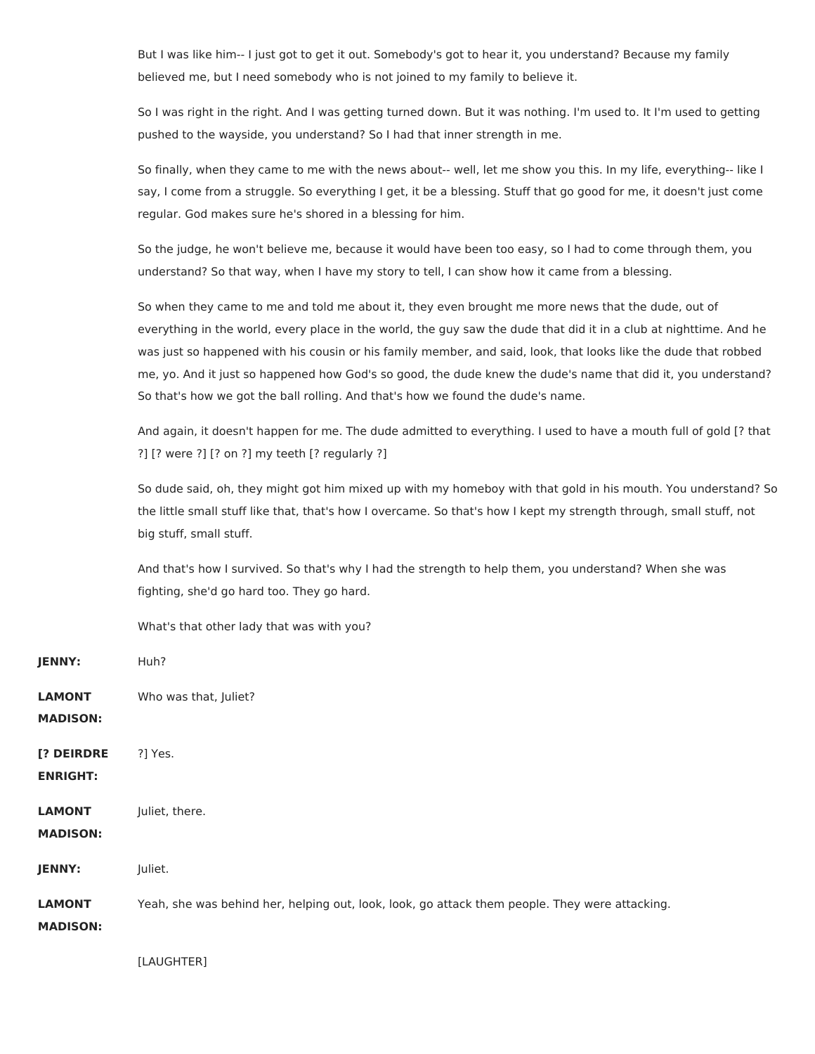But I was like him-- I just got to get it out. Somebody's got to hear it, you understand? Because my family believed me, but I need somebody who is not joined to my family to believe it.

So I was right in the right. And I was getting turned down. But it was nothing. I'm used to. It I'm used to getting pushed to the wayside, you understand? So I had that inner strength in me.

So finally, when they came to me with the news about-- well, let me show you this. In my life, everything-- like I say, I come from a struggle. So everything I get, it be a blessing. Stuff that go good for me, it doesn't just come regular. God makes sure he's shored in a blessing for him.

So the judge, he won't believe me, because it would have been too easy, so I had to come through them, you understand? So that way, when I have my story to tell, I can show how it came from a blessing.

So when they came to me and told me about it, they even brought me more news that the dude, out of everything in the world, every place in the world, the guy saw the dude that did it in a club at nighttime. And he was just so happened with his cousin or his family member, and said, look, that looks like the dude that robbed me, yo. And it just so happened how God's so good, the dude knew the dude's name that did it, you understand? So that's how we got the ball rolling. And that's how we found the dude's name.

And again, it doesn't happen for me. The dude admitted to everything. I used to have a mouth full of gold [? that ?] [? were ?] [? on ?] my teeth [? regularly ?]

So dude said, oh, they might got him mixed up with my homeboy with that gold in his mouth. You understand? So the little small stuff like that, that's how I overcame. So that's how I kept my strength through, small stuff, not big stuff, small stuff.

And that's how I survived. So that's why I had the strength to help them, you understand? When she was fighting, she'd go hard too. They go hard.

What's that other lady that was with you?

| JENNY:                           | Huh?                                                                                           |
|----------------------------------|------------------------------------------------------------------------------------------------|
| <b>LAMONT</b><br><b>MADISON:</b> | Who was that, Juliet?                                                                          |
| [? DEIRDRE<br><b>ENRIGHT:</b>    | ?] Yes.                                                                                        |
| <b>LAMONT</b><br><b>MADISON:</b> | Juliet, there.                                                                                 |
| JENNY:                           | Juliet.                                                                                        |
| <b>LAMONT</b><br><b>MADISON:</b> | Yeah, she was behind her, helping out, look, look, go attack them people. They were attacking. |

[LAUGHTER]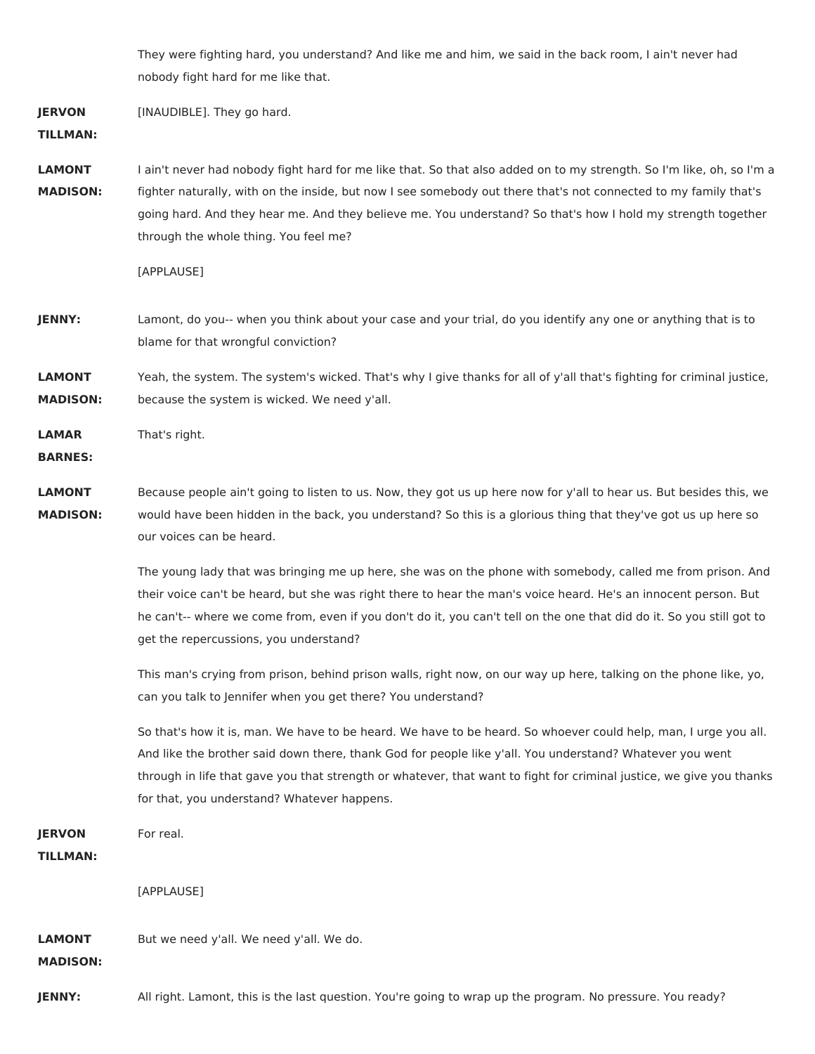They were fighting hard, you understand? And like me and him, we said in the back room, I ain't never had nobody fight hard for me like that.

**JERVON** [INAUDIBLE]. They go hard.

**TILLMAN:**

**LAMONT MADISON:** I ain't never had nobody fight hard for me like that. So that also added on to my strength. So I'm like, oh, so I'm a fighter naturally, with on the inside, but now I see somebody out there that's not connected to my family that's going hard. And they hear me. And they believe me. You understand? So that's how I hold my strength together through the whole thing. You feel me?

```
[APPLAUSE]
```
- **JENNY:** Lamont, do you-- when you think about your case and your trial, do you identify any one or anything that is to blame for that wrongful conviction?
- **LAMONT MADISON:** Yeah, the system. The system's wicked. That's why I give thanks for all of y'all that's fighting for criminal justice, because the system is wicked. We need y'all.

**LAMAR** That's right.

**BARNES:**

- **LAMONT MADISON:** Because people ain't going to listen to us. Now, they got us up here now for y'all to hear us. But besides this, we would have been hidden in the back, you understand? So this is a glorious thing that they've got us up here so our voices can be heard.
	- The young lady that was bringing me up here, she was on the phone with somebody, called me from prison. And their voice can't be heard, but she was right there to hear the man's voice heard. He's an innocent person. But he can't-- where we come from, even if you don't do it, you can't tell on the one that did do it. So you still got to get the repercussions, you understand?
	- This man's crying from prison, behind prison walls, right now, on our way up here, talking on the phone like, yo, can you talk to Jennifer when you get there? You understand?
	- So that's how it is, man. We have to be heard. We have to be heard. So whoever could help, man, I urge you all. And like the brother said down there, thank God for people like y'all. You understand? Whatever you went through in life that gave you that strength or whatever, that want to fight for criminal justice, we give you thanks for that, you understand? Whatever happens.
- **JERVON TILLMAN:** For real. [APPLAUSE] **LAMONT MADISON:** But we need y'all. We need y'all. We do. **JENNY:** All right. Lamont, this is the last question. You're going to wrap up the program. No pressure. You ready?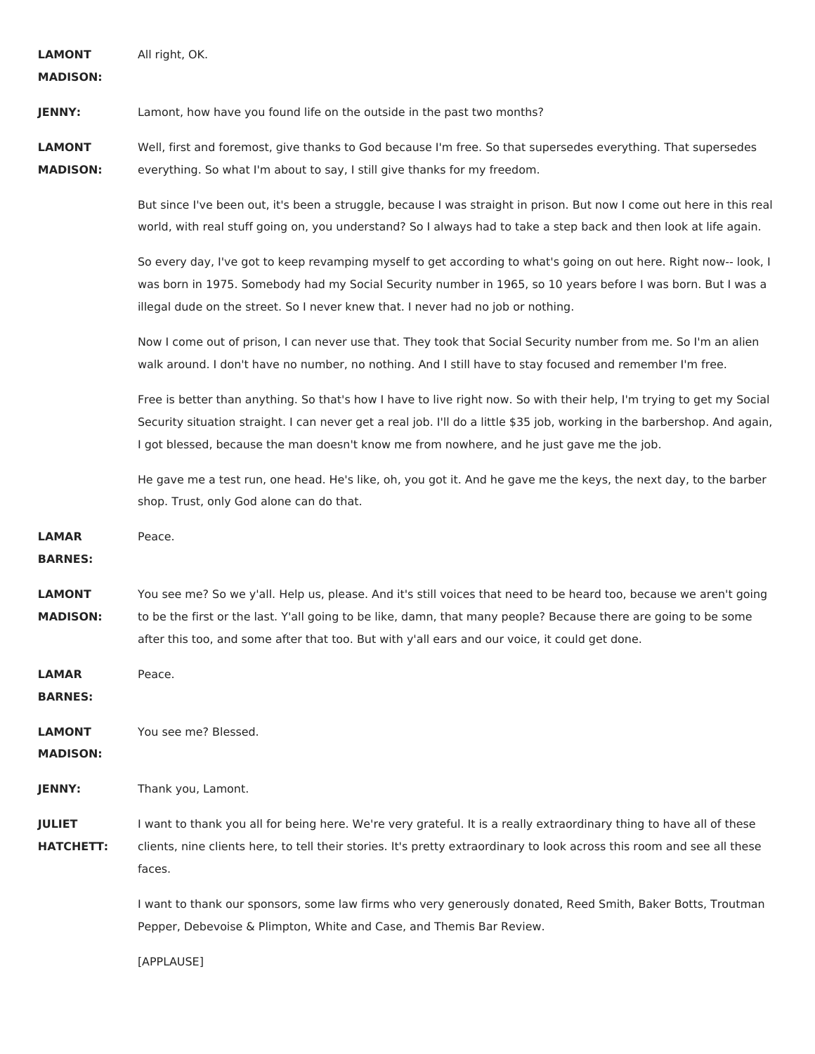| <b>LAMONT</b><br><b>MADISON:</b>  | All right, OK.                                                                                                                                                                                                                                                                                                                                  |
|-----------------------------------|-------------------------------------------------------------------------------------------------------------------------------------------------------------------------------------------------------------------------------------------------------------------------------------------------------------------------------------------------|
| JENNY:                            | Lamont, how have you found life on the outside in the past two months?                                                                                                                                                                                                                                                                          |
| <b>LAMONT</b><br><b>MADISON:</b>  | Well, first and foremost, give thanks to God because I'm free. So that supersedes everything. That supersedes<br>everything. So what I'm about to say, I still give thanks for my freedom.                                                                                                                                                      |
|                                   | But since I've been out, it's been a struggle, because I was straight in prison. But now I come out here in this real<br>world, with real stuff going on, you understand? So I always had to take a step back and then look at life again.                                                                                                      |
|                                   | So every day, I've got to keep revamping myself to get according to what's going on out here. Right now-- look, I<br>was born in 1975. Somebody had my Social Security number in 1965, so 10 years before I was born. But I was a<br>illegal dude on the street. So I never knew that. I never had no job or nothing.                           |
|                                   | Now I come out of prison, I can never use that. They took that Social Security number from me. So I'm an alien<br>walk around. I don't have no number, no nothing. And I still have to stay focused and remember I'm free.                                                                                                                      |
|                                   | Free is better than anything. So that's how I have to live right now. So with their help, I'm trying to get my Social<br>Security situation straight. I can never get a real job. I'll do a little \$35 job, working in the barbershop. And again,<br>I got blessed, because the man doesn't know me from nowhere, and he just gave me the job. |
|                                   | He gave me a test run, one head. He's like, oh, you got it. And he gave me the keys, the next day, to the barber<br>shop. Trust, only God alone can do that.                                                                                                                                                                                    |
| <b>LAMAR</b><br><b>BARNES:</b>    | Peace.                                                                                                                                                                                                                                                                                                                                          |
| <b>LAMONT</b><br><b>MADISON:</b>  | You see me? So we y'all. Help us, please. And it's still voices that need to be heard too, because we aren't going<br>to be the first or the last. Y'all going to be like, damn, that many people? Because there are going to be some<br>after this too, and some after that too. But with y'all ears and our voice, it could get done.         |
| LAMAR<br><b>BARNES:</b>           | Peace.                                                                                                                                                                                                                                                                                                                                          |
| <b>LAMONT</b><br><b>MADISON:</b>  | You see me? Blessed.                                                                                                                                                                                                                                                                                                                            |
| JENNY:                            | Thank you, Lamont.                                                                                                                                                                                                                                                                                                                              |
| <b>JULIET</b><br><b>HATCHETT:</b> | I want to thank you all for being here. We're very grateful. It is a really extraordinary thing to have all of these<br>clients, nine clients here, to tell their stories. It's pretty extraordinary to look across this room and see all these<br>faces.                                                                                       |
|                                   | I want to thank our sponsors, some law firms who very generously donated, Reed Smith, Baker Botts, Troutman<br>Pepper, Debevoise & Plimpton, White and Case, and Themis Bar Review.                                                                                                                                                             |
|                                   | [APPLAUSE]                                                                                                                                                                                                                                                                                                                                      |